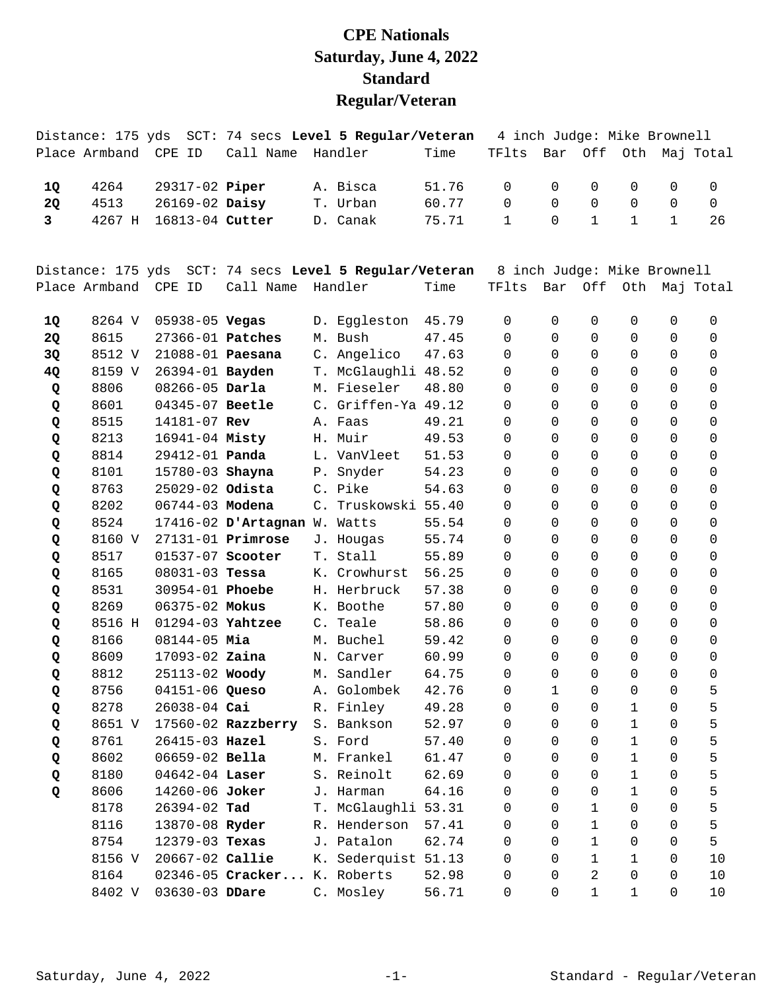## **CPE Nationals Saturday, June 4, 2022 Standard Regular/Veteran**

|    |      |                          | Distance: 175 yds SCT: 74 secs Level 5 Regular/Veteran 4 inch Judge: Mike Brownell |                   |                                                 |  |  |    |
|----|------|--------------------------|------------------------------------------------------------------------------------|-------------------|-------------------------------------------------|--|--|----|
|    |      |                          | Place Armband CPE ID Call Name Handler Time                                        |                   | TFlts Bar Off Oth Maj Total                     |  |  |    |
|    |      |                          |                                                                                    |                   |                                                 |  |  |    |
| 10 |      | 4264 29317-02 Piper      | A. Bisca                                                                           | 51.76 0 0 0 0 0 0 |                                                 |  |  |    |
| 20 | 4513 | 26169-02 Daisy           | T. Urban                                                                           | 60.77             | $\begin{matrix} 0 & 0 & 0 & 0 & 0 \end{matrix}$ |  |  |    |
|    |      | 3 4267 H 16813-04 Cutter | D. Canak                                                                           | 75.71 1 0 1 1 1   |                                                 |  |  | 26 |
|    |      |                          |                                                                                    |                   |                                                 |  |  |    |

|           | Distance: 175 yds |                         |                              |                | SCT: 74 secs Level 5 Regular/Veteran |       | 8 inch Judge: Mike Brownell |                     |                |             |             |             |
|-----------|-------------------|-------------------------|------------------------------|----------------|--------------------------------------|-------|-----------------------------|---------------------|----------------|-------------|-------------|-------------|
|           | Place Armband     | CPE ID                  | Call Name                    |                | Handler                              | Time  | TFlts                       | Bar                 | Off            | Oth         |             | Maj Total   |
|           |                   |                         |                              |                |                                      |       |                             |                     |                |             |             |             |
| 1Q        | 8264 V            | 05938-05 Vegas          |                              |                | D. Eggleston                         | 45.79 | $\Omega$                    | $\Omega$            | $\Omega$       | 0           | $\Omega$    | $\Omega$    |
| 2Q        | 8615              | 27366-01 Patches        |                              |                | M. Bush                              | 47.45 | 0                           | $\Omega$            | $\mathbf 0$    | 0           | 0           | 0           |
| 3Q        | 8512 V            | 21088-01 <b>Paesana</b> |                              |                | C. Angelico                          | 47.63 | 0                           | $\Omega$            | $\mathbf 0$    | 0           | 0           | 0           |
| <b>4Q</b> | 8159 V            | 26394-01 Bayden         |                              |                | T. McGlaughli 48.52                  |       | 0                           | $\Omega$            | $\mathbf 0$    | 0           | 0           | 0           |
| Q         | 8806              | 08266-05 Darla          |                              |                | M. Fieseler                          | 48.80 | 0                           | $\Omega$            | $\mathbf 0$    | 0           | 0           | 0           |
| Q         | 8601              | 04345-07 Beetle         |                              |                | C. Griffen-Ya 49.12                  |       | $\Omega$                    | $\Omega$            | $\mathbf 0$    | 0           | 0           | 0           |
| Q         | 8515              | 14181-07 Rev            |                              |                | A. Faas                              | 49.21 | $\Omega$                    | $\Omega$            | $\mathbf 0$    | 0           | 0           | 0           |
| Q         | 8213              | 16941-04 Misty          |                              |                | H. Muir                              | 49.53 | $\Omega$                    | $\Omega$            | 0              | 0           | 0           | 0           |
| Q         | 8814              | 29412-01 <b>Panda</b>   |                              |                | L. VanVleet                          | 51.53 | $\Omega$                    | $\Omega$            | $\mathbf 0$    | 0           | 0           | $\mathbf 0$ |
| Q         | 8101              | 15780-03 Shayna         |                              |                | P. Snyder                            | 54.23 | $\Omega$                    | $\Omega$            | $\mathsf 0$    | $\Omega$    | $\Omega$    | $\Omega$    |
| Q         | 8763              | 25029-02 Odista         |                              |                | C. Pike                              | 54.63 | 0                           | $\Omega$            | $\mathbf 0$    | 0           | 0           | $\mathbf 0$ |
| Q         | 8202              | 06744-03 Modena         |                              |                | C. Truskowski                        | 55.40 | $\Omega$                    | 0                   | $\mathbf 0$    | 0           | 0           | $\mathbf 0$ |
| Q         | 8524              |                         | 17416-02 D'Artagnan W. Watts |                |                                      | 55.54 | $\Omega$                    | $\Omega$            | $\mathbf 0$    | 0           | 0           | $\mathbf 0$ |
| Q         | 8160 V            |                         | 27131-01 Primrose            |                | J. Hougas                            | 55.74 | $\Omega$                    | $\Omega$            | $\mathbf 0$    | 0           | 0           | $\mathbf 0$ |
| Q         | 8517              | 01537-07 Scooter        |                              |                | T. Stall                             | 55.89 | $\Omega$                    | $\Omega$            | $\Omega$       | 0           | 0           | $\Omega$    |
| Q         | 8165              | $08031 - 03$ Tessa      |                              |                | K. Crowhurst                         | 56.25 | $\Omega$                    | $\Omega$            | $\Omega$       | $\Omega$    | $\Omega$    | $\Omega$    |
| Q         | 8531              | 30954-01 Phoebe         |                              |                | H. Herbruck                          | 57.38 | $\Omega$                    | $\Omega$            | $\Omega$       | $\Omega$    | $\Omega$    | $\Omega$    |
| Q         | 8269              | 06375-02 Mokus          |                              |                | K. Boothe                            | 57.80 | 0                           | $\Omega$            | $\mathbf 0$    | 0           | 0           | $\mathbf 0$ |
| Q         | 8516 H            | 01294-03 Yahtzee        |                              | $\mathsf{C}$ . | Teale                                | 58.86 | 0                           | $\Omega$            | $\mathbf 0$    | 0           | 0           | $\mathbf 0$ |
| Q         | 8166              | 08144-05 Mia            |                              |                | M. Buchel                            | 59.42 | 0                           | $\overline{0}$      | $\mathbf 0$    | 0           | 0           | $\Omega$    |
| Q         | 8609              | 17093-02 Zaina          |                              |                | N. Carver                            | 60.99 | 0                           | $\Omega$            | $\mathbf 0$    | 0           | 0           | $\Omega$    |
| Q         | 8812              | 25113-02 Woody          |                              |                | M. Sandler                           | 64.75 | 0                           | $\Omega$            | $\mathbf 0$    | 0           | 0           | $\mathbf 0$ |
| Q         | 8756              | 04151-06 Queso          |                              |                | A. Golombek                          | 42.76 | 0                           | $\mathbf{1}$        | $\mathbf 0$    | 0           | $\Omega$    | 5           |
| Q         | 8278              | 26038-04 Cai            |                              |                | R. Finley                            | 49.28 | 0                           | $\Omega$            | $\mathbf 0$    | 1           | $\Omega$    | 5           |
| Q         | 8651 V            |                         | 17560-02 Razzberry           |                | S. Bankson                           | 52.97 | $\Omega$                    | $\Omega$            | $\mathsf 0$    | $\mathbf 1$ | $\Omega$    | 5           |
| Q         | 8761              | 26415-03 Hazel          |                              |                | S. Ford                              | 57.40 | 0                           | $\Omega$            | $\mathbf 0$    | $\mathbf 1$ | 0           | 5           |
| Q         | 8602              | 06659-02 Bella          |                              |                | M. Frankel                           | 61.47 | 0                           | $\Omega$            | $\mathbf 0$    | $\mathbf 1$ | 0           | 5           |
| Q         | 8180              | 04642-04 Laser          |                              |                | S. Reinolt                           | 62.69 | 0                           | $\mathbf 0$         | $\mathbf 0$    | $\mathbf 1$ | 0           | 5           |
| Q         | 8606              | 14260-06 Joker          |                              |                | J. Harman                            | 64.16 | 0                           | $\Omega$            | $\mathbf 0$    | 1           | 0           | 5           |
|           | 8178              | 26394-02 Tad            |                              |                | T. McGlaughli 53.31                  |       | 0                           | $\Omega$            | $\mathbf 1$    | 0           | 0           | 5           |
|           | 8116              | 13870-08 Ryder          |                              |                | R. Henderson                         | 57.41 | 0                           | $\Omega$            | $\mathbf{1}$   | 0           | 0           | 5           |
|           | 8754              | 12379-03 Texas          |                              |                | J. Patalon                           | 62.74 | 0                           | $\Omega$            | $\mathbf{1}$   | 0           | 0           | 5           |
|           | 8156 V            | 20667-02 Callie         |                              |                | K. Sederquist 51.13                  |       | 0                           | $\Omega$            | $\mathbf 1$    | $\mathbf 1$ | $\Omega$    | 10          |
|           | 8164              |                         | 02346-05 Cracker K. Roberts  |                |                                      | 52.98 | $\mathsf{O}\xspace$         | $\mathsf{O}\xspace$ | $\overline{2}$ | 0           | $\mathsf 0$ | $10$        |
|           | 8402 V            | 03630-03 DDare          |                              |                | C. Mosley                            | 56.71 | $\overline{0}$              | $\Omega$            | $\mathbf{1}$   | $\mathbf 1$ | $\mathbf 0$ | 10          |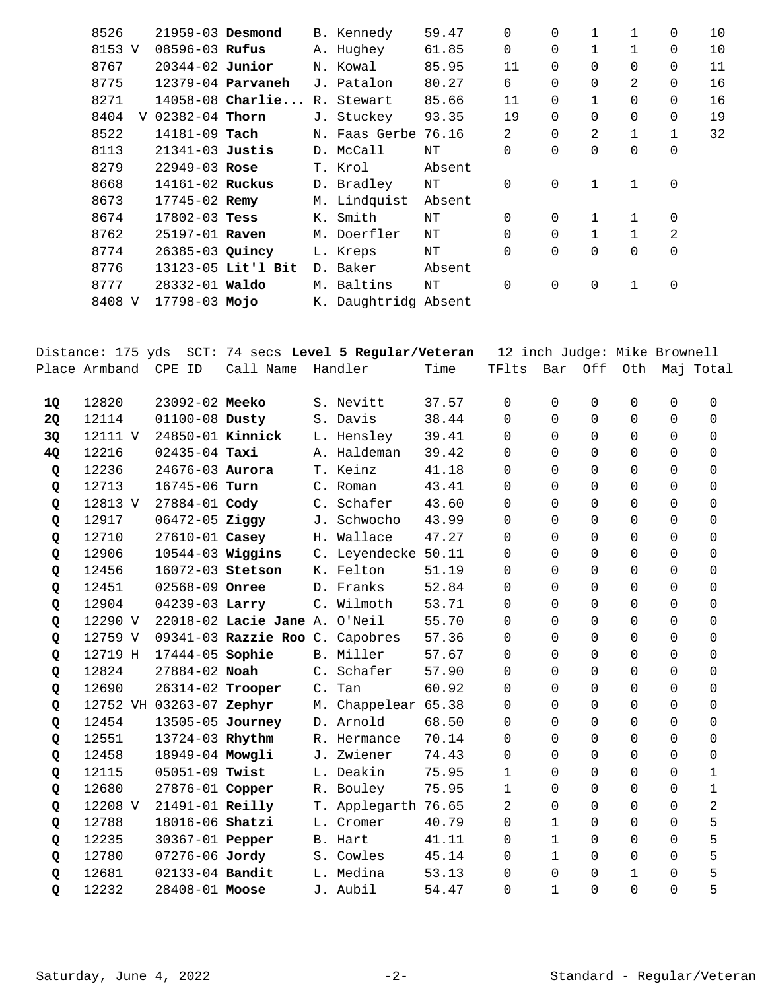| 8526      | $21959 - 03$ Desmond |                    | B. Kennedy           | 59.47  | 0              | $\Omega$    | 1            | 1            | 0              | 10 |
|-----------|----------------------|--------------------|----------------------|--------|----------------|-------------|--------------|--------------|----------------|----|
| 8153 V    | $08596 - 03$ Rufus   |                    | A. Hughey            | 61.85  | 0              | 0           |              | 1            | 0              | 10 |
| 8767      | $20344 - 02$ Junior  |                    | N. Kowal             | 85.95  | 11             | 0           | $\Omega$     | 0            | 0              | 11 |
| 8775      |                      | 12379-04 Parvaneh  | J. Patalon           | 80.27  | 6              | 0           | $\Omega$     | 2            | 0              | 16 |
| 8271      |                      | $14058-08$ Charlie | R. Stewart           | 85.66  | 11             | 0           | $\mathbf 1$  | 0            | 0              | 16 |
| 8404<br>V | $02382 - 04$ Thorn   |                    | J. Stuckey           | 93.35  | 19             | $\Omega$    | $\Omega$     | $\Omega$     | $\Omega$       | 19 |
| 8522      | $14181 - 09$ Tach    |                    | N. Faas Gerbe        | 76.16  | 2              | $\Omega$    | 2            | $\mathbf{1}$ | $\mathbf{1}$   | 32 |
| 8113      | $21341-03$ Justis    |                    | D. McCall            | NΤ     | 0              | 0           | $\Omega$     | 0            | 0              |    |
| 8279      | $22949 - 03$ Rose    |                    | T. Krol              | Absent |                |             |              |              |                |    |
| 8668      | 14161-02 Ruckus      |                    | D. Bradley           | NΤ     | 0              | $\mathbf 0$ | $\mathbf{1}$ | $\mathbf{1}$ | $\mathbf 0$    |    |
| 8673      | $17745 - 02$ Remy    |                    | M. Lindquist         | Absent |                |             |              |              |                |    |
| 8674      | $17802 - 03$ Tess    |                    | K. Smith             | NΤ     | $\Omega$       | $\Omega$    |              | 1            | $\Omega$       |    |
| 8762      | 25197-01 Raven       |                    | M. Doerfler          | NΤ     | $\Omega$       | 0           | $\mathbf{1}$ | $\mathbf{1}$ | $\overline{c}$ |    |
| 8774      | 26385-03 Quincy      |                    | L. Kreps             | NΤ     | $\overline{0}$ | $\mathbf 0$ | $\mathbf 0$  | 0            | $\mathbf 0$    |    |
| 8776      |                      | 13123-05 Lit'l Bit | D. Baker             | Absent |                |             |              |              |                |    |
| 8777      | 28332-01 Waldo       |                    | M. Baltins           | NΤ     | $\Omega$       | $\Omega$    | 0            | 1            | $\mathbf 0$    |    |
| 8408 V    | 17798-03 Mojo        |                    | K. Daughtridg Absent |        |                |             |              |              |                |    |

|           | Distance: 175 yds |                          |                                 |       | SCT: 74 secs Level 5 Regular/Veteran |       | 12 inch Judge: Mike Brownell |              |                |                |             |                |
|-----------|-------------------|--------------------------|---------------------------------|-------|--------------------------------------|-------|------------------------------|--------------|----------------|----------------|-------------|----------------|
|           | Place Armband     | CPE ID                   | Call Name                       |       | Handler                              | Time  | TFlts                        | Bar          | Off            | Oth            |             | Maj Total      |
| 1Q        | 12820             | 23092-02 Meeko           |                                 |       | S. Nevitt                            | 37.57 | 0                            | $\mathbf 0$  | $\mathbf 0$    | $\mathbf 0$    | $\mathbf 0$ | $\mathbf 0$    |
| <b>2Q</b> | 12114             | 01100-08 Dusty           |                                 |       | S. Davis                             | 38.44 | $\Omega$                     | $\Omega$     | $\Omega$       | $\Omega$       | $\Omega$    | $\Omega$       |
| 3Q        | 12111 V           | 24850-01 Kinnick         |                                 |       | L. Hensley                           | 39.41 | $\Omega$                     | $\Omega$     | $\Omega$       | 0              | $\Omega$    | $\Omega$       |
| 4Q        | 12216             | $02435 - 04$ Taxi        |                                 |       | A. Haldeman                          | 39.42 | 0                            | $\Omega$     | $\mathbf 0$    | 0              | $\Omega$    | $\Omega$       |
| Q         | 12236             | 24676-03 Aurora          |                                 |       | T. Keinz                             | 41.18 | 0                            | $\Omega$     | $\Omega$       | $\mathbf 0$    | $\Omega$    | $\Omega$       |
| Q         | 12713             | 16745-06 Turn            |                                 |       | C. Roman                             | 43.41 | 0                            | $\Omega$     | $\Omega$       | $\Omega$       | $\Omega$    | $\Omega$       |
| Q         | 12813 V           | 27884-01 Cody            |                                 |       | C. Schafer                           | 43.60 | 0                            | $\Omega$     | $\Omega$       | $\Omega$       | $\Omega$    | $\Omega$       |
| Q         | 12917             | 06472-05 Ziggy           |                                 |       | J. Schwocho                          | 43.99 | 0                            | $\Omega$     | $\Omega$       | $\mathbf 0$    | $\Omega$    | $\Omega$       |
| Q         | 12710             | 27610-01 Casey           |                                 |       | H. Wallace                           | 47.27 | 0                            | $\Omega$     | 0              | 0              | 0           | 0              |
| Q         | 12906             | $10544-03$ Wiggins       |                                 |       | C. Leyendecke 50.11                  |       | 0                            | $\Omega$     | $\Omega$       | $\Omega$       | $\Omega$    | $\Omega$       |
| Q         | 12456             | 16072-03 Stetson         |                                 |       | K. Felton                            | 51.19 | 0                            | $\Omega$     | 0              | 0              | $\Omega$    | $\Omega$       |
| Q         | 12451             | 02568-09 Onree           |                                 |       | D. Franks                            | 52.84 | 0                            | $\Omega$     | $\Omega$       | $\Omega$       | $\Omega$    | $\Omega$       |
| Q         | 12904             | 04239-03 Larry           |                                 |       | C. Wilmoth                           | 53.71 | 0                            | $\Omega$     | $\Omega$       | $\mathbf 0$    | $\Omega$    | $\Omega$       |
| Q         | 12290 V           |                          | 22018-02 Lacie Jane A. O'Neil   |       |                                      | 55.70 | 0                            | $\Omega$     | $\Omega$       | $\Omega$       | $\Omega$    | $\Omega$       |
| Q         | 12759 V           |                          | 09341-03 Razzie Roo C. Capobres |       |                                      | 57.36 | 0                            | $\Omega$     | $\mathbf 0$    | $\Omega$       | $\Omega$    | $\Omega$       |
| Q         | 12719 H           | 17444-05 Sophie          |                                 |       | B. Miller                            | 57.67 | 0                            | $\mathbf 0$  | $\overline{0}$ | $\mathbf 0$    | 0           | 0              |
| Q         | 12824             | 27884-02 Noah            |                                 |       | C. Schafer                           | 57.90 | 0                            | $\Omega$     | $\Omega$       | $\Omega$       | $\Omega$    | $\Omega$       |
| Q         | 12690             | 26314-02 Trooper         |                                 | $C$ . | Tan                                  | 60.92 | 0                            | $\Omega$     | $\mathbf 0$    | 0              | $\Omega$    | $\Omega$       |
| Q         |                   | 12752 VH 03263-07 Zephyr |                                 |       | M. Chappelear 65.38                  |       | $\Omega$                     | $\Omega$     | $\Omega$       | $\Omega$       | $\Omega$    | $\Omega$       |
| Q         | 12454             | 13505-05 Journey         |                                 |       | D. Arnold                            | 68.50 | 0                            | $\Omega$     | $\Omega$       | $\mathbf 0$    | $\Omega$    | $\Omega$       |
| Q         | 12551             | 13724-03 Rhythm          |                                 |       | R. Hermance                          | 70.14 | 0                            | $\Omega$     | $\Omega$       | $\Omega$       | $\Omega$    | $\Omega$       |
| Q         | 12458             | 18949-04 Mowgli          |                                 |       | J. Zwiener                           | 74.43 | $\Omega$                     | $\Omega$     | $\Omega$       | $\Omega$       | $\Omega$    | $\Omega$       |
| Q         | 12115             | 05051-09 Twist           |                                 |       | L. Deakin                            | 75.95 | $\mathbf{1}$                 | $\mathbf 0$  | $\overline{0}$ | $\mathbf 0$    | $\Omega$    | $\mathbf{1}$   |
| Q         | 12680             | 27876-01 Copper          |                                 |       | R. Bouley                            | 75.95 | $\mathbf{1}$                 | $\Omega$     | $\Omega$       | $\mathbf 0$    | $\Omega$    | $\mathbf{1}$   |
| Q         | 12208 V           | 21491-01 Reilly          |                                 |       | T. Applegarth 76.65                  |       | 2                            | $\Omega$     | $\overline{0}$ | 0              | $\Omega$    | $\overline{a}$ |
| Q         | 12788             | 18016-06 Shatzi          |                                 |       | L. Cromer                            | 40.79 | 0                            | 1            | $\Omega$       | $\Omega$       | $\Omega$    | 5              |
| Q         | 12235             | 30367-01 Pepper          |                                 |       | B. Hart                              | 41.11 | 0                            | $\mathbf{1}$ | $\mathbf 0$    | $\mathbf 0$    | $\Omega$    | 5              |
| Q         | 12780             | 07276-06 Jordy           |                                 |       | S. Cowles                            | 45.14 | 0                            | $\mathbf{1}$ | $\Omega$       | 0              | $\Omega$    | 5              |
| Q         | 12681             | 02133-04 Bandit          |                                 |       | L. Medina                            | 53.13 | $\Omega$                     | $\Omega$     | $\Omega$       | $\mathbf{1}$   | $\Omega$    | 5              |
| Q         | 12232             | 28408-01 Moose           |                                 |       | J. Aubil                             | 54.47 | 0                            | $\mathbf{1}$ | $\overline{0}$ | $\overline{0}$ | $\Omega$    | 5              |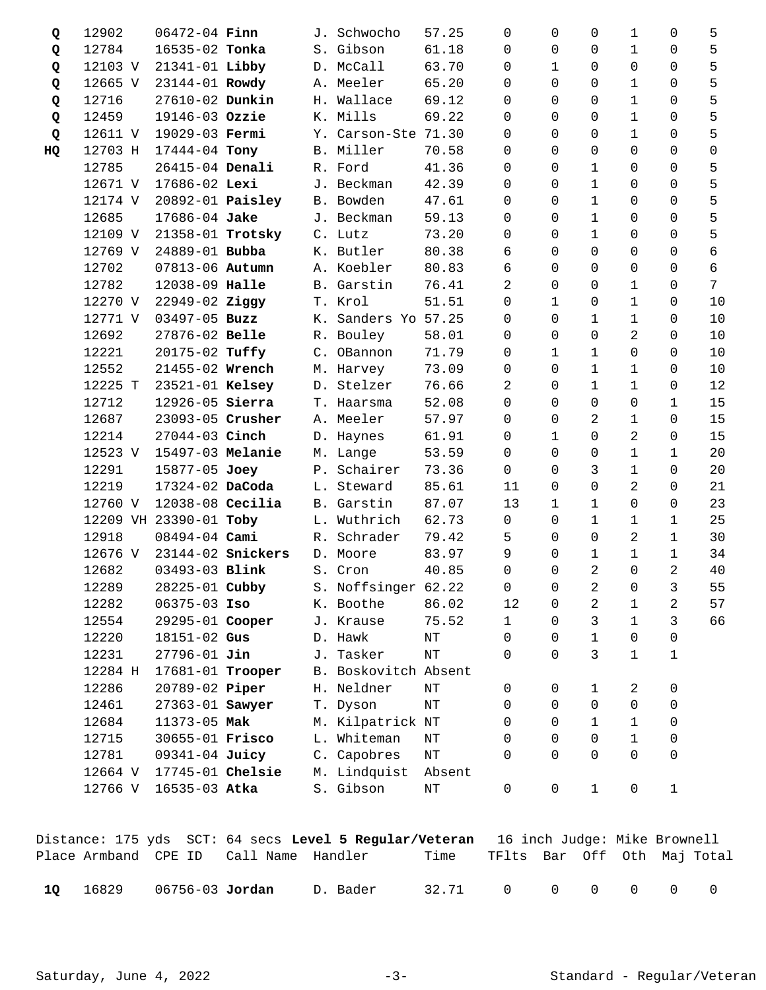| Q  | 12902    | $06472 - 04$ Finn       |                   |    | J. Schwocho          | 57.25     | $\Omega$     | $\Omega$     | $\Omega$       | 1              | 0            | 5  |
|----|----------|-------------------------|-------------------|----|----------------------|-----------|--------------|--------------|----------------|----------------|--------------|----|
| Q  | 12784    | 16535-02 Tonka          |                   |    | S. Gibson            | 61.18     | $\Omega$     | $\Omega$     | 0              | 1              | $\Omega$     | 5  |
| Q  | 12103 V  | 21341-01 Libby          |                   |    | D. McCall            | 63.70     | 0            | $\mathbf{1}$ | 0              | 0              | 0            | 5  |
| Q  | 12665 V  | 23144-01 Rowdy          |                   |    | A. Meeler            | 65.20     | $\Omega$     | $\Omega$     | 0              | 1              | 0            | 5  |
| Q  | 12716    | 27610-02 Dunkin         |                   | Η. | Wallace              | 69.12     | $\Omega$     | $\Omega$     | 0              | 1              | 0            | 5  |
| Q  | 12459    | 19146-03 Ozzie          |                   |    | K. Mills             | 69.22     | $\Omega$     | $\Omega$     | 0              | 1              | 0            | 5  |
| Q  | 12611 V  | 19029-03 Fermi          |                   |    | Y. Carson-Ste 71.30  |           | $\Omega$     | $\Omega$     | 0              | 1              | 0            | 5  |
| HQ | 12703 H  | 17444-04 Tony           |                   |    | B. Miller            | 70.58     | 0            | $\Omega$     | $\mathbf 0$    | 0              | 0            | 0  |
|    | 12785    | 26415-04 Denali         |                   |    | R. Ford              | 41.36     | $\Omega$     | $\Omega$     | 1              | 0              | $\Omega$     | 5  |
|    | 12671 V  | 17686-02 Lexi           |                   |    | J. Beckman           | 42.39     | $\Omega$     | $\Omega$     | 1              | 0              | $\Omega$     | 5  |
|    | 12174 V  | 20892-01 <b>Paisley</b> |                   |    | B. Bowden            | 47.61     | 0            | $\Omega$     | $1\,$          | 0              | 0            | 5  |
|    | 12685    | 17686-04 Jake           |                   |    | J. Beckman           | 59.13     | 0            | 0            | 1              | 0              | 0            | 5  |
|    | 12109 V  | 21358-01 Trotsky        |                   |    | C. Lutz              | 73.20     | 0            | $\Omega$     | 1              | 0              | 0            | 5  |
|    | 12769 V  | 24889-01 Bubba          |                   |    | K. Butler            | 80.38     | 6            | $\Omega$     | $\overline{0}$ | 0              | 0            | 6  |
|    | 12702    | 07813-06 Autumn         |                   |    | A. Koebler           | 80.83     | 6            | $\Omega$     | $\mathbf 0$    | 0              | $\Omega$     | 6  |
|    | 12782    | 12038-09 Halle          |                   |    | B. Garstin           | 76.41     | 2            | $\Omega$     | $\mathbf 0$    | 1              | 0            | 7  |
|    | 12270 V  | 22949-02 Ziggy          |                   |    | T. Krol              | 51.51     | $\Omega$     | $\mathbf{1}$ | 0              | 1              | $\Omega$     | 10 |
|    | 12771 V  | $03497 - 05$ Buzz       |                   | К. | Sanders Yo 57.25     |           | $\Omega$     | $\Omega$     | $\mathbf{1}$   | $\mathbf{1}$   | 0            | 10 |
|    | 12692    | 27876-02 Belle          |                   |    | R. Bouley            | 58.01     | 0            | $\Omega$     | $\overline{0}$ | 2              | 0            | 10 |
|    | 12221    | 20175-02 Tuffy          |                   |    | C. OBannon           | 71.79     | 0            | $\mathbf{1}$ | $\mathbf{1}$   | 0              | 0            | 10 |
|    | 12552    | 21455-02 Wrench         |                   |    | M. Harvey            | 73.09     | 0            | $\Omega$     | $\mathbf{1}$   | 1              | 0            | 10 |
|    | 12225 T  | 23521-01 Kelsey         |                   |    | D. Stelzer           | 76.66     | 2            | $\Omega$     | $\mathbf{1}$   | $\mathbf{1}$   | 0            | 12 |
|    | 12712    | 12926-05 Sierra         |                   |    | T. Haarsma           | 52.08     | $\Omega$     | $\Omega$     | $\overline{0}$ | 0              | 1            | 15 |
|    | 12687    | 23093-05 Crusher        |                   |    | A. Meeler            | 57.97     | 0            | $\Omega$     | 2              | 1              | 0            | 15 |
|    | 12214    | 27044-03 Cinch          |                   |    | D. Haynes            | 61.91     | $\Omega$     | $\mathbf{1}$ | $\Omega$       | $\overline{a}$ | 0            | 15 |
|    | 12523 V  | 15497-03 Melanie        |                   |    | M. Lange             | 53.59     | $\Omega$     | $\Omega$     | 0              | 1              | 1            | 20 |
|    | 12291    | 15877-05 Joey           |                   |    | P. Schairer          | 73.36     | $\Omega$     | $\Omega$     | 3              | 1              | $\Omega$     | 20 |
|    | 12219    | 17324-02 DaCoda         |                   |    | L. Steward           | 85.61     | 11           | 0            | $\overline{0}$ | $\overline{a}$ | 0            | 21 |
|    | 12760 V  | $12038-08$ Cecilia      |                   |    | B. Garstin           | 87.07     | 13           | 1            | 1              | 0              | 0            | 23 |
|    | 12209 VH | 23390-01 Toby           |                   | L. | Wuthrich             | 62.73     | 0            | $\Omega$     | 1              | 1              | 1            | 25 |
|    | 12918    | 08494-04 Cami           |                   | R. | Schrader             | 79.42     | 5            | $\Omega$     | 0              | $\overline{a}$ | $\mathbf 1$  | 30 |
|    | 12676 V  |                         | 23144-02 Snickers |    | D. Moore             | 83.97     | 9            | 0            | $1\,$          | 1              | $\mathbf{1}$ | 34 |
|    | 12682    | 03493-03 Blink          |                   |    | S. Cron              | 40.85     | 0            | $\Omega$     | 2              | 0              | 2            | 40 |
|    | 12289    | 28225-01 Cubby          |                   |    | S. Noffsinger 62.22  |           | 0            | 0            | 2              | 0              | 3            | 55 |
|    | 12282    | $06375 - 03$ Iso        |                   |    | K. Boothe            | 86.02     | 12           | 0            | 2              | 1              | 2            | 57 |
|    | 12554    | 29295-01 Cooper         |                   |    | J. Krause            | 75.52     | $\mathbf{1}$ | $\Omega$     | 3              | $\mathbf{1}$   | 3            | 66 |
|    | 12220    | 18151-02 Gus            |                   |    | D. Hawk              | NΤ        | $\mathbf 0$  | 0            | $\mathbf 1$    | 0              | 0            |    |
|    | 12231    | $27796 - 01$ Jin        |                   |    | J. Tasker            | $\rm{NT}$ | $\Omega$     | $\Omega$     | 3              | 1              | 1            |    |
|    | 12284 H  | 17681-01 Trooper        |                   |    | B. Boskovitch Absent |           |              |              |                |                |              |    |
|    | 12286    | 20789-02 Piper          |                   |    | H. Neldner           | $\rm{NT}$ | 0            | 0            | 1              | 2              | 0            |    |
|    | 12461    | 27363-01 Sawyer         |                   |    | T. Dyson             | $\rm{NT}$ | 0            | 0            | $\mathbf 0$    | 0              | 0            |    |
|    | 12684    | 11373-05 Mak            |                   |    | M. Kilpatrick NT     |           | 0            | $\Omega$     | 1              | 1              | 0            |    |
|    | 12715    | 30655-01 Frisco         |                   |    | L. Whiteman          | ΝT        | 0            | $\Omega$     | 0              | 1              | 0            |    |
|    | 12781    | 09341-04 Juicy          |                   |    | C. Capobres          | $\rm{NT}$ | $\Omega$     | $\Omega$     | 0              | 0              | 0            |    |
|    | 12664 V  | 17745-01 Chelsie        |                   |    | M. Lindquist         | Absent    |              |              |                |                |              |    |
|    | 12766 V  | 16535-03 Atka           |                   |    | S. Gibson            | $\rm{NT}$ | 0            | 0            | $\mathbf{1}$   | 0              | $1\,$        |    |

|      |                              |                                        | Distance: 175 yds SCT: 64 secs Level 5 Regular/Veteran 16 inch Judge: Mike Brownell |                   |                             |  |  |  |
|------|------------------------------|----------------------------------------|-------------------------------------------------------------------------------------|-------------------|-----------------------------|--|--|--|
|      |                              | Place Armband CPE ID Call Name Handler |                                                                                     | Time              | TFlts Bar Off Oth Maj-Total |  |  |  |
| - 10 | 16829 06756-03 <b>Jordan</b> |                                        | D. Bader                                                                            | 32.71 0 0 0 0 0 0 |                             |  |  |  |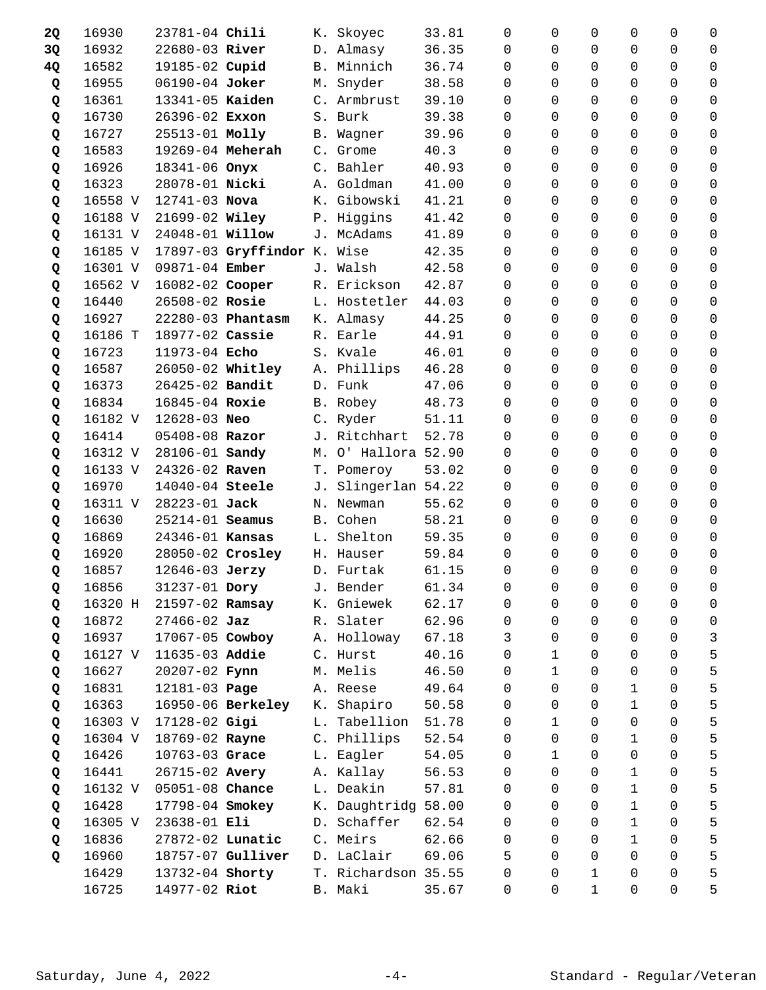| 2Q | 16930   | 23781-04 Chili   |                             |    | K. Skoyec           | 33.81 | 0           | 0            | 0              | 0              | 0              | 0                   |
|----|---------|------------------|-----------------------------|----|---------------------|-------|-------------|--------------|----------------|----------------|----------------|---------------------|
| 3Q | 16932   | 22680-03 River   |                             |    | D. Almasy           | 36.35 | $\Omega$    | 0            | $\Omega$       | 0              | $\Omega$       | 0                   |
| 4Q | 16582   | 19185-02 Cupid   |                             |    | B. Minnich          | 36.74 | $\Omega$    | 0            | $\Omega$       | $\Omega$       | $\Omega$       | 0                   |
| Q  | 16955   | 06190-04 Joker   |                             |    | M. Snyder           | 38.58 | 0           | 0            | $\mathbf 0$    | 0              | $\Omega$       | 0                   |
| Q  | 16361   | 13341-05 Kaiden  |                             |    | C. Armbrust         | 39.10 | $\Omega$    | 0            | $\Omega$       | 0              | $\Omega$       | 0                   |
| Q  | 16730   | 26396-02 Exxon   |                             | S. | Burk                | 39.38 | $\Omega$    | 0            | $\Omega$       | 0              | 0              | 0                   |
| Q  | 16727   | 25513-01 Molly   |                             |    | B. Wagner           | 39.96 | $\Omega$    | 0            | $\Omega$       | $\Omega$       | $\Omega$       | $\Omega$            |
| Q  | 16583   | 19269-04 Meherah |                             |    | C. Grome            | 40.3  | $\Omega$    | $\Omega$     | $\Omega$       | $\Omega$       | $\Omega$       | 0                   |
| Q  | 16926   | 18341-06 Onyx    |                             |    | C. Bahler           | 40.93 | $\Omega$    | $\Omega$     | $\Omega$       | $\Omega$       | $\Omega$       | 0                   |
| Q  | 16323   | 28078-01 Nicki   |                             |    | A. Goldman          | 41.00 | $\Omega$    | $\Omega$     | $\Omega$       | $\Omega$       | $\Omega$       | $\Omega$            |
| Q  | 16558 V | 12741-03 Nova    |                             |    | K. Gibowski         | 41.21 | $\Omega$    | 0            | $\Omega$       | $\Omega$       | $\Omega$       | $\Omega$            |
| Q  | 16188 V | 21699-02 Wiley   |                             |    | P. Higgins          | 41.42 | 0           | 0            | $\Omega$       | $\Omega$       | $\Omega$       | 0                   |
| Q  | 16131 V | 24048-01 Willow  |                             |    | J. McAdams          | 41.89 | 0           | 0            | $\Omega$       | $\Omega$       | $\mathbf 0$    | $\mathbf 0$         |
| Q  | 16185 V |                  | 17897-03 Gryffindor K. Wise |    |                     | 42.35 | $\Omega$    | 0            | $\Omega$       | 0              | $\Omega$       | 0                   |
| Q  | 16301 V | 09871-04 Ember   |                             |    | J. Walsh            | 42.58 | $\Omega$    | 0            | $\Omega$       | 0              | $\Omega$       | 0                   |
| Q  | 16562 V | 16082-02 Cooper  |                             |    | R. Erickson         | 42.87 | 0           | $\Omega$     | $\Omega$       | $\Omega$       | $\Omega$       | 0                   |
| Q  | 16440   | 26508-02 Rosie   |                             |    | L. Hostetler        | 44.03 | $\Omega$    | 0            | $\Omega$       | $\Omega$       | $\Omega$       | $\mathbf 0$         |
| Q  | 16927   |                  | 22280-03 Phantasm           |    | K. Almasy           | 44.25 | $\Omega$    | 0            | $\Omega$       | $\Omega$       | $\Omega$       | 0                   |
| Q  | 16186 T | 18977-02 Cassie  |                             |    | R. Earle            | 44.91 | $\Omega$    | 0            | $\Omega$       | 0              | $\Omega$       | $\Omega$            |
| Q  | 16723   | 11973-04 Echo    |                             |    | S. Kvale            | 46.01 | $\Omega$    | $\Omega$     | $\Omega$       | $\Omega$       | $\Omega$       | $\Omega$            |
| Q  | 16587   | 26050-02 Whitley |                             |    | A. Phillips         | 46.28 | 0           | 0            | $\mathbf 0$    | $\Omega$       | $\Omega$       | $\mathbf 0$         |
| Q  | 16373   | 26425-02 Bandit  |                             |    | D. Funk             | 47.06 | $\Omega$    | 0            | $\Omega$       | 0              | $\Omega$       | 0                   |
| Q  | 16834   | 16845-04 Roxie   |                             | В. | Robey               | 48.73 | $\Omega$    | 0            | $\Omega$       | 0              | 0              | 0                   |
| Q  | 16182 V | 12628-03 Neo     |                             |    | C. Ryder            | 51.11 | $\Omega$    | $\Omega$     | $\Omega$       | $\Omega$       | $\Omega$       | 0                   |
| Q  | 16414   | 05408-08 Razor   |                             |    | J. Ritchhart        | 52.78 | $\Omega$    | 0            | $\Omega$       | $\Omega$       | $\Omega$       | $\mathbf 0$         |
| Q  | 16312 V | 28106-01 Sandy   |                             |    | M. O' Hallora 52.90 |       | $\Omega$    | 0            | $\Omega$       | 0              | $\Omega$       | 0                   |
| Q  | 16133 V | 24326-02 Raven   |                             |    | T. Pomeroy          | 53.02 | $\Omega$    | 0            | $\Omega$       | 0              | 0              | 0                   |
| Q  | 16970   | 14040-04 Steele  |                             |    | J. Slingerlan 54.22 |       | $\Omega$    | 0            | $\Omega$       | $\Omega$       | $\Omega$       | 0                   |
| Q  | 16311 V | 28223-01 Jack    |                             |    | N. Newman           | 55.62 | 0           | 0            | $\mathbf 0$    | 0              | $\overline{0}$ | 0                   |
| Q  | 16630   | 25214-01 Seamus  |                             |    | B. Cohen            | 58.21 | $\Omega$    | 0            | $\Omega$       | 0              | $\Omega$       | 0                   |
| Q  | 16869   | 24346-01 Kansas  |                             | L. | Shelton             | 59.35 | $\Omega$    | 0            | $\Omega$       | 0              | 0              | 0                   |
| Q  | 16920   | 28050-02 Crosley |                             |    | H. Hauser           | 59.84 | $\Omega$    | 0            | $\Omega$       | $\Omega$       | $\Omega$       | 0                   |
| Q  | 16857   | 12646-03 Jerzy   |                             |    | D. Furtak           | 61.15 | 0           | 0            | $\mathbf 0$    | 0              | $\mathbf 0$    | 0                   |
| Q  | 16856   | 31237-01 Dory    |                             |    | J. Bender           | 61.34 | $\mathbf 0$ | $\mathsf{O}$ | $\overline{0}$ | $\overline{0}$ | $\overline{0}$ | $\mathsf{O}\xspace$ |
| Q  | 16320 H | 21597-02 Ramsay  |                             | К. | Gniewek             | 62.17 | 0           | 0            | 0              | 0              | 0              | 0                   |
| Q  | 16872   | $27466 - 02$ Jaz |                             |    | R. Slater           | 62.96 | 0           | 0            | $\Omega$       | $\Omega$       | $\Omega$       | 0                   |
| Q  | 16937   | 17067-05 Cowboy  |                             |    | A. Holloway         | 67.18 | 3           | $\mathbf 0$  | $\Omega$       | 0              | $\Omega$       | $\mathsf{3}$        |
| Q  | 16127 V | 11635-03 Addie   |                             |    | C. Hurst            | 40.16 | $\Omega$    | 1            | 0              | 0              | $\Omega$       | 5                   |
| Q  | 16627   | 20207-02 Fynn    |                             |    | M. Melis            | 46.50 | $\Omega$    | $\mathbf{1}$ | $\Omega$       | 0              | 0              | 5                   |
| Q  | 16831   | 12181-03 Page    |                             |    | A. Reese            | 49.64 | $\Omega$    | 0            | $\Omega$       | 1              | $\Omega$       | 5                   |
| Q  | 16363   |                  | 16950-06 Berkeley           |    | K. Shapiro          | 50.58 | 0           | 0            | $\Omega$       | $\mathbf 1$    | $\Omega$       | 5                   |
| Q  | 16303 V | 17128-02 Gigi    |                             |    | L. Tabellion        | 51.78 | 0           | $\mathbf{1}$ | $\Omega$       | $\mathbf 0$    | $\Omega$       | 5                   |
| Q  | 16304 V | 18769-02 Rayne   |                             | С. | Phillips            | 52.54 | 0           | 0            | $\Omega$       | 1              | $\Omega$       | 5                   |
| Q  | 16426   | 10763-03 Grace   |                             | L. | Eagler              | 54.05 | $\Omega$    | $\mathbf 1$  | $\Omega$       | 0              | 0              | 5                   |
| Q  | 16441   | 26715-02 Avery   |                             |    | A. Kallay           | 56.53 | 0           | $\mathbf 0$  | $\Omega$       | $\mathbf 1$    | $\Omega$       | 5                   |
| Q  | 16132 V | 05051-08 Chance  |                             |    | L. Deakin           | 57.81 | $\Omega$    | 0            | 0              | $\mathbf 1$    | $\Omega$       | 5                   |
| Q  | 16428   | 17798-04 Smokey  |                             | К. | Daughtridg 58.00    |       | 0           | 0            | $\Omega$       | $\mathbf{1}$   | 0              | 5                   |
| Q  | 16305 V | 23638-01 Eli     |                             | D. | Schaffer            | 62.54 | 0           | 0            | $\Omega$       | $\mathbf{1}$   | 0              | 5                   |
| Q  | 16836   | 27872-02 Lunatic |                             |    | C. Meirs            | 62.66 | $\Omega$    | 0            | $\Omega$       | $\mathbf{1}$   | $\Omega$       | 5                   |
| Q  | 16960   |                  | 18757-07 Gulliver           |    | D. LaClair          | 69.06 | 5           | 0            | 0              | $\Omega$       | $\Omega$       | 5                   |
|    | 16429   | 13732-04 Shorty  |                             |    | T. Richardson 35.55 |       | 0           | 0            | 1              | 0              | 0              | 5                   |
|    | 16725   | 14977-02 Riot    |                             |    | B. Maki             | 35.67 | 0           | 0            | $\mathbf{1}$   | 0              | 0              | 5                   |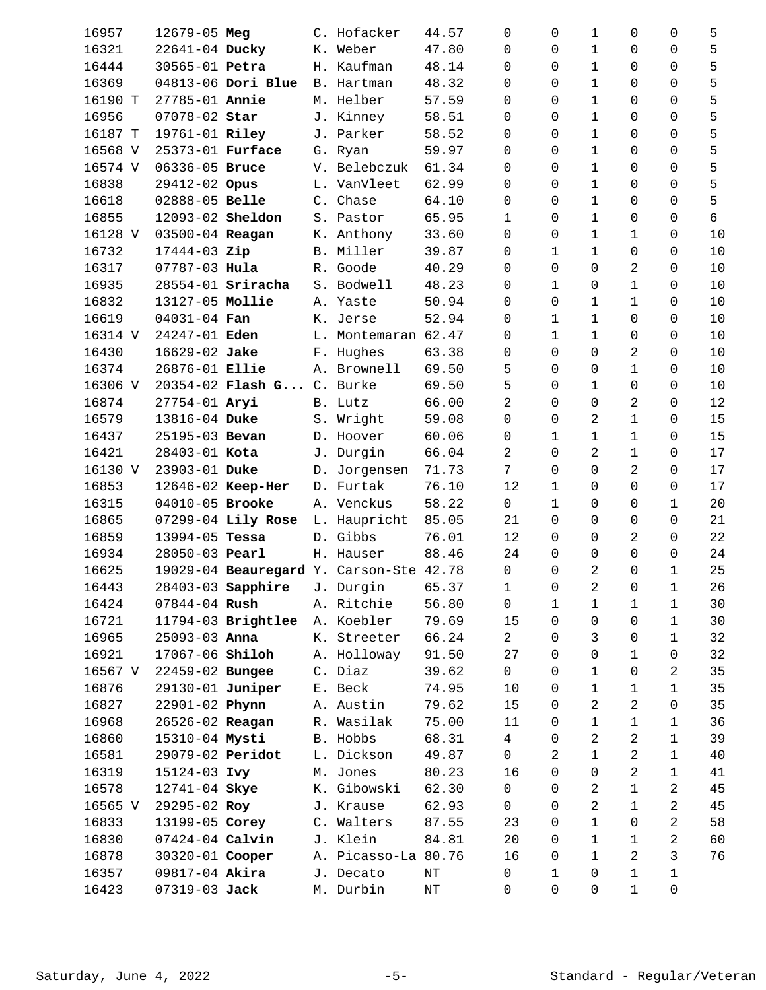| 16957   | 12679-05 Meg            |                             | C. Hofacker                             | 44.57     | 0              | 0           | $\mathbf 1$    | 0              | 0            | 5          |
|---------|-------------------------|-----------------------------|-----------------------------------------|-----------|----------------|-------------|----------------|----------------|--------------|------------|
| 16321   | 22641-04 Ducky          |                             | K. Weber                                | 47.80     | $\Omega$       | $\Omega$    | $\mathbf 1$    | 0              | 0            | 5          |
| 16444   | 30565-01 Petra          |                             | H. Kaufman                              | 48.14     | 0              | $\Omega$    | 1              | 0              | $\Omega$     | 5          |
| 16369   |                         | 04813-06 Dori Blue          | B. Hartman                              | 48.32     | 0              | 0           | $\mathbf 1$    | 0              | 0            | 5          |
| 16190 T | 27785-01 Annie          |                             | M. Helber                               | 57.59     | 0              | 0           | 1              | 0              | 0            | 5          |
| 16956   | 07078-02 Star           |                             | J. Kinney                               | 58.51     | 0              | $\Omega$    | 1              | 0              | 0            | 5          |
| 16187 T | 19761-01 Riley          |                             | J. Parker                               | 58.52     | $\Omega$       | $\Omega$    | 1              | 0              | 0            | 5          |
| 16568 V | 25373-01 Furface        |                             | G. Ryan                                 | 59.97     | 0              | $\Omega$    | $\mathbf{1}$   | 0              | 0            | 5          |
| 16574 V | 06336-05 Bruce          |                             | V. Belebczuk                            | 61.34     | $\mathbf 0$    | $\Omega$    | $1\,$          | 0              | 0            | 5          |
| 16838   | 29412-02 Opus           |                             | L. VanVleet                             | 62.99     | $\Omega$       | $\Omega$    | $\mathbf{1}$   | 0              | 0            | 5          |
| 16618   | 02888-05 Belle          |                             | C. Chase                                | 64.10     | $\mathbf 0$    | $\Omega$    | 1              | 0              | 0            | 5          |
| 16855   | 12093-02 <b>Sheldon</b> |                             | S. Pastor                               | 65.95     | $\mathbf{1}$   | $\Omega$    | $\mathbf{1}$   | 0              | 0            | $\epsilon$ |
| 16128 V | 03500-04 Reagan         |                             | K. Anthony                              | 33.60     | $\mathbf 0$    | 0           | 1              | 1              | 0            | 10         |
| 16732   | 17444-03 Zip            |                             | B. Miller                               | 39.87     | 0              | 1           | 1              | 0              | 0            | 10         |
| 16317   | 07787-03 Hula           |                             | R. Goode                                | 40.29     | 0              | $\Omega$    | 0              | 2              | 0            | 10         |
| 16935   |                         | $28554-01$ Sriracha         | S. Bodwell                              | 48.23     | 0              | $\mathbf 1$ | 0              | $\mathbf 1$    | 0            | 10         |
| 16832   | 13127-05 Mollie         |                             | A. Yaste                                | 50.94     | 0              | 0           | 1              | 1              | 0            | 10         |
| 16619   | 04031-04 Fan            |                             | K. Jerse                                | 52.94     | 0              | $\mathbf 1$ | $1\,$          | 0              | 0            | 10         |
| 16314 V | 24247-01 Eden           |                             | L. Montemaran 62.47                     |           | 0              | $\mathbf 1$ | $\mathbf{1}$   | 0              | 0            | 10         |
| 16430   | 16629-02 Jake           |                             | F. Hughes                               | 63.38     | 0              | $\Omega$    | $\mathbf 0$    | 2              | 0            | 10         |
| 16374   | 26876-01 Ellie          |                             | A. Brownell                             | 69.50     | 5              | 0           | 0              | $\mathbf{1}$   | 0            | 10         |
| 16306 V |                         | $20354 - 02$ Flash G        | C. Burke                                | 69.50     | 5              | $\Omega$    | 1              | 0              | 0            | 10         |
| 16874   | 27754-01 Aryi           |                             | B. Lutz                                 | 66.00     | 2              | $\Omega$    | 0              | 2              | 0            | 12         |
| 16579   | 13816-04 Duke           |                             | S. Wright                               | 59.08     | 0              | $\Omega$    | 2              | 1              | 0            | 15         |
| 16437   | 25195-03 Bevan          |                             | D. Hoover                               | 60.06     | 0              | $\mathbf 1$ | $\mathbf{1}$   | $\mathbf 1$    | 0            | 15         |
| 16421   | 28403-01 Kota           |                             | J. Durgin                               | 66.04     | $\overline{2}$ | $\Omega$    | 2              | $\mathbf 1$    | 0            | 17         |
| 16130 V | 23903-01 Duke           |                             | D. Jorgensen                            | 71.73     | 7              | $\Omega$    | $\mathbf 0$    | 2              | 0            | 17         |
| 16853   |                         | 12646-02 Keep-Her           | D. Furtak                               | 76.10     | 12             | 1           | 0              | 0              | 0            | 17         |
| 16315   | 04010-05 Brooke         |                             | A. Venckus                              | 58.22     | $\mathsf{O}$   | $\mathbf 1$ | 0              | 0              | 1            | 20         |
| 16865   |                         | 07299-04 Lily Rose          | L. Haupricht                            | 85.05     | 21             | 0           | 0              | 0              | 0            | 21         |
| 16859   | 13994-05 Tessa          |                             | D. Gibbs                                | 76.01     | 12             | $\Omega$    | 0              | $\overline{a}$ | 0            | 22         |
| 16934   | 28050-03 Pearl          |                             | H. Hauser                               | 88.46     | 24             | 0           | $\mathbf 0$    | 0              | 0            | 24         |
| 16625   |                         |                             | 19029-04 Beauregard Y. Carson-Ste 42.78 |           | $\mathsf{O}$   | $\mathbf 0$ | 2              | 0              | $\mathbf{1}$ | 25         |
| 16443   |                         | 28403-03 Sapphire J. Durgin |                                         | 65.37     | 1              | $\mathsf 0$ | $\overline{a}$ | $\mathsf{O}$   | $\mathbf 1$  | 26         |
| 16424   | $07844 - 04$ Rush       |                             | A. Ritchie                              | 56.80     | 0              | 1           | 1              | 1              | 1            | 30         |
| 16721   |                         | 11794-03 Brightlee          | A. Koebler                              | 79.69     | 15             | $\Omega$    | 0              | 0              | 1            | 30         |
| 16965   | $25093 - 03$ Anna       |                             | K. Streeter                             | 66.24     | $\overline{a}$ | $\Omega$    | 3              | 0              | $\mathbf 1$  | 32         |
| 16921   | 17067-06 Shiloh         |                             | A. Holloway                             | 91.50     | 27             | $\Omega$    | $\mathbf 0$    | $\mathbf{1}$   | 0            | 32         |
| 16567 V | 22459-02 Bungee         |                             | C. Diaz                                 | 39.62     | 0              | 0           | 1              | 0              | 2            | 35         |
| 16876   | 29130-01 Juniper        |                             | E. Beck                                 | 74.95     | 10             | 0           | 1              | 1              | 1            | 35         |
| 16827   | 22901-02 Phynn          |                             | A. Austin                               | 79.62     | 15             | $\Omega$    | 2              | $\overline{a}$ | 0            | 35         |
| 16968   | 26526-02 Reagan         |                             | R. Wasilak                              | 75.00     | 11             | 0           | 1              | $\mathbf 1$    | 1            | 36         |
| 16860   | 15310-04 Mysti          |                             | B. Hobbs                                | 68.31     | 4              | 0           | 2              | 2              | 1            | 39         |
| 16581   | 29079-02 Peridot        |                             | L. Dickson                              | 49.87     | $\mathbf 0$    | 2           | 1              | 2              | 1            | 40         |
| 16319   | 15124-03 Ivy            |                             | M. Jones                                | 80.23     | 16             | $\Omega$    | 0              | $\overline{a}$ | 1            | 41         |
| 16578   | 12741-04 Skye           |                             | K. Gibowski                             | 62.30     | $\mathsf{O}$   | $\Omega$    | 2              | $\mathbf 1$    | 2            | 45         |
| 16565 V | 29295-02 Roy            |                             | J. Krause                               | 62.93     | 0              | 0           | 2              | 1              | 2            | 45         |
| 16833   | 13199-05 Corey          |                             | C. Walters                              | 87.55     | 23             | 0           | $\mathbf 1$    | 0              | 2            | 58         |
| 16830   | $07424 - 04$ Calvin     |                             | J. Klein                                | 84.81     | 20             | $\Omega$    | $1\,$          | 1              | 2            | 60         |
| 16878   | 30320-01 Cooper         |                             | A. Picasso-La 80.76                     |           | 16             | 0           | $\mathbf 1$    | $\overline{a}$ | 3            | 76         |
| 16357   | 09817-04 Akira          |                             | J. Decato                               | $\rm{NT}$ | $\mathsf{O}$   | 1           | 0              | 1              | 1            |            |
| 16423   | 07319-03 Jack           |                             | M. Durbin                               | $\rm{NT}$ | 0              | $\mathbf 0$ | 0              | $\mathbf 1$    | 0            |            |
|         |                         |                             |                                         |           |                |             |                |                |              |            |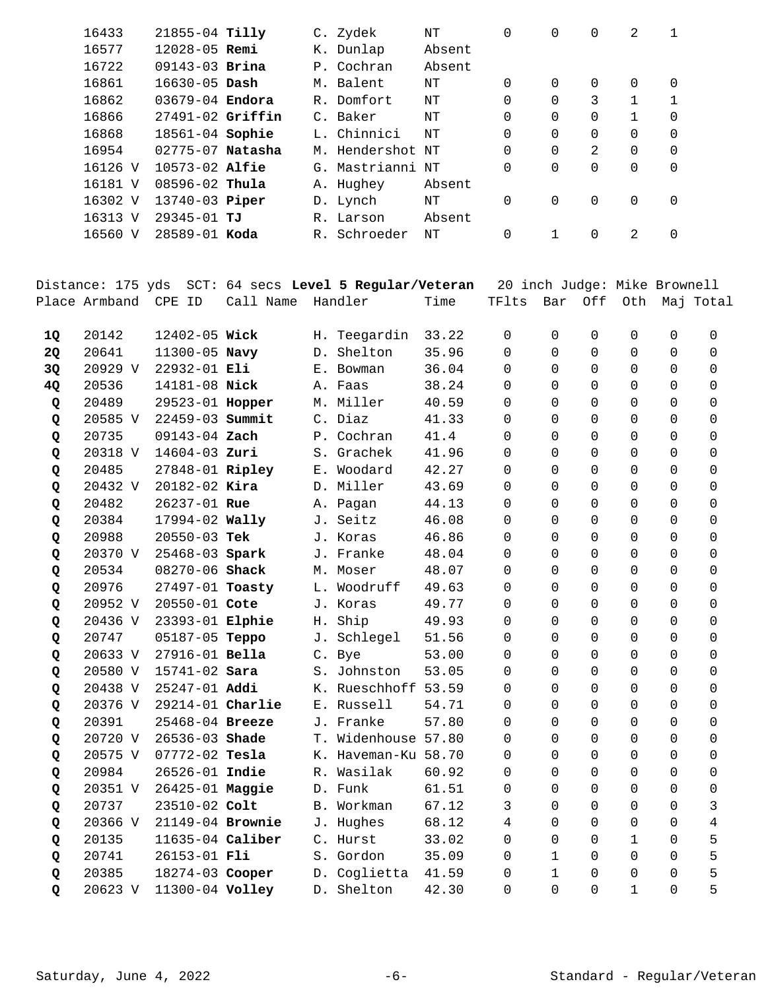|           | 16433                | 21855-04 Tilly      |           |    | C. Zydek                                               | $\rm{NT}$ | $\mathbf 0$                  | $\Omega$    | $\mathbf 0$ | 2            | 1 |           |
|-----------|----------------------|---------------------|-----------|----|--------------------------------------------------------|-----------|------------------------------|-------------|-------------|--------------|---|-----------|
|           | 16577                | 12028-05 Remi       |           |    | K. Dunlap                                              | Absent    |                              |             |             |              |   |           |
|           | 16722                | 09143-03 Brina      |           |    | P. Cochran                                             | Absent    |                              |             |             |              |   |           |
|           | 16861                | 16630-05 Dash       |           |    | M. Balent                                              | $\rm{NT}$ | 0                            | 0           | 0           | 0            | 0 |           |
|           | 16862                | 03679-04 Endora     |           |    | R. Domfort                                             | $\rm{NT}$ | 0                            | $\Omega$    | 3           | 1            | 1 |           |
|           | 16866                | 27491-02 Griffin    |           |    | C. Baker                                               | $\rm{NT}$ | 0                            | $\Omega$    | 0           | 1            | 0 |           |
|           | 16868                | 18561-04 Sophie     |           |    | L. Chinnici                                            | $\rm{NT}$ | 0                            | $\Omega$    | 0           | 0            | 0 |           |
|           | 16954                | 02775-07 Natasha    |           |    | M. Hendershot NT                                       |           | 0                            | $\Omega$    | 2           | 0            | 0 |           |
|           | 16126 V              | 10573-02 Alfie      |           |    | G. Mastrianni NT                                       |           | 0                            | $\Omega$    | $\Omega$    | 0            | 0 |           |
|           | 16181 V              | 08596-02 Thula      |           |    | A. Hughey                                              | Absent    |                              |             |             |              |   |           |
|           | 16302 V              | 13740-03 Piper      |           |    | D. Lynch                                               | $\rm{NT}$ | 0                            | $\mathbf 0$ | 0           | 0            | 0 |           |
|           | 16313 V              | 29345-01 TJ         |           |    | R. Larson                                              | Absent    |                              |             |             |              |   |           |
|           | 16560 V              | 28589-01 Koda       |           |    | R. Schroeder                                           | $\rm{NT}$ | 0                            | $\mathbf 1$ | $\mathbf 0$ | 2            | 0 |           |
|           |                      |                     |           |    |                                                        |           |                              |             |             |              |   |           |
|           |                      |                     |           |    | Distance: 175 yds SCT: 64 secs Level 5 Regular/Veteran |           | 20 inch Judge: Mike Brownell |             |             |              |   |           |
|           | Place Armband CPE ID |                     | Call Name |    | Handler                                                | Time      | TFlts                        | Bar         | Off         | Oth          |   | Maj Total |
| <b>1Q</b> | 20142                | 12402-05 Wick       |           |    | H. Teegardin                                           | 33.22     | 0                            | 0           | 0           | 0            | 0 | 0         |
| 2Q        | 20641                | 11300-05 Navy       |           |    | D. Shelton                                             | 35.96     | 0                            | $\mathbf 0$ | $\mathbf 0$ | 0            | 0 | 0         |
| 3Q        | 20929 V              | 22932-01 Eli        |           |    | E. Bowman                                              | 36.04     | 0                            | 0           | 0           | 0            | 0 | 0         |
| 4Q        | 20536                | 14181-08 Nick       |           |    | A. Faas                                                | 38.24     | 0                            | 0           | 0           | 0            | 0 | 0         |
| Q         | 20489                | 29523-01 Hopper     |           |    | M. Miller                                              | 40.59     | 0                            | $\Omega$    | 0           | 0            | 0 | 0         |
| Q         | 20585 V              | 22459-03 Summit     |           |    | C. Diaz                                                | 41.33     | 0                            | $\Omega$    | $\mathbf 0$ | 0            | 0 | 0         |
| Q         | 20735                | 09143-04 Zach       |           |    | P. Cochran                                             | 41.4      | 0                            | 0           | 0           | 0            | 0 | 0         |
| Q         | 20318 V              | 14604-03 Zuri       |           |    | S. Grachek                                             | 41.96     | 0                            | 0           | $\Omega$    | 0            | 0 | 0         |
| Q         | 20485                | 27848-01 Ripley     |           |    | E. Woodard                                             | 42.27     | 0                            | $\Omega$    | 0           | 0            | 0 | 0         |
| Q         | 20432 V              | 20182-02 Kira       |           |    | D. Miller                                              | 43.69     | 0                            | $\Omega$    | 0           | 0            | 0 | 0         |
| Q         | 20482                | 26237-01 Rue        |           |    | A. Pagan                                               | 44.13     | 0                            | $\Omega$    | 0           | 0            | 0 | 0         |
| Q         | 20384                | 17994-02 Wally      |           |    | J. Seitz                                               | 46.08     | 0                            | 0           | 0           | 0            | 0 | 0         |
| Q         | 20988                | 20550-03 Tek        |           |    | J. Koras                                               | 46.86     | 0                            | 0           | 0           | 0            | 0 | 0         |
| Q         | 20370 V              | 25468-03 Spark      |           |    | J. Franke                                              | 48.04     | 0                            | 0           | 0           | 0            | 0 | 0         |
| Q         | 20534                | 08270-06 Shack      |           |    | M. Moser                                               | 48.07     | 0                            | $\Omega$    | $\Omega$    | 0            | 0 | 0         |
| Q         | 20976                | $27497 - 01$ Toasty |           | L. | Woodruff                                               | 49.63     | 0                            | 0           | 0           | 0            | 0 | 0         |
| Q         | 20952 V              | 20550-01 Cote       |           |    | J. Koras                                               | 49.77     | 0                            | 0           | 0           | 0            | 0 | 0         |
| Q         | 20436 V              | 23393-01 Elphie     |           | Η. | Ship                                                   | 49.93     | 0                            | $\Omega$    | 0           | 0            | 0 | 0         |
| Q         | 20747                | 05187-05 Teppo      |           |    | J. Schlegel                                            | 51.56     | 0                            | $\Omega$    | 0           | 0            | 0 | 0         |
| Q         | 20633 V              | 27916-01 Bella      |           |    | C. Bye                                                 | 53.00     | 0                            | $\Omega$    | 0           | 0            | 0 | 0         |
| Q         | 20580 V              | $15741 - 02$ Sara   |           |    | S. Johnston                                            | 53.05     | 0                            | $\Omega$    | 0           | 0            | 0 | 0         |
| Q         | 20438 V              | 25247-01 Addi       |           |    | K. Rueschhoff 53.59                                    |           | 0                            | $\Omega$    | 0           | 0            | 0 | 0         |
| Q         | 20376 V              | 29214-01 Charlie    |           |    | E. Russell                                             | 54.71     | 0                            | 0           | 0           | 0            | 0 | 0         |
| Q         | 20391                | 25468-04 Breeze     |           |    | J. Franke                                              | 57.80     | 0                            | $\Omega$    | 0           | 0            | 0 | 0         |
| Q         | 20720 V              | 26536-03 Shade      |           |    | T. Widenhouse 57.80                                    |           | 0                            | $\Omega$    | 0           | 0            | 0 | 0         |
| Q         | 20575 V              | $07772 - 02$ Tesla  |           |    | K. Haveman-Ku 58.70                                    |           | 0                            | $\Omega$    | 0           | 0            | 0 | 0         |
| Q         | 20984                | 26526-01 Indie      |           |    | R. Wasilak                                             | 60.92     | 0                            | $\Omega$    | 0           | 0            | 0 | 0         |
| Q         | 20351 V              | 26425-01 Maggie     |           |    | D. Funk                                                | 61.51     | 0                            | 0           | 0           | 0            | 0 | 0         |
| Q         | 20737                | 23510-02 Colt       |           |    | B. Workman                                             | 67.12     | 3                            | 0           | 0           | 0            | 0 | 3         |
| Q         | 20366 V              | 21149-04 Brownie    |           |    | J. Hughes                                              | 68.12     | 4                            | $\Omega$    | 0           | 0            | 0 | 4         |
|           | 20135                | 11635-04 Caliber    |           |    | C. Hurst                                               | 33.02     | 0                            | 0           | 0           | $\mathbf{1}$ | 0 | 5         |
| Q         | 20741                | 26153-01 Fli        |           |    | S. Gordon                                              | 35.09     | 0                            | $\mathbf 1$ | 0           | 0            | 0 | 5         |
| Q         | 20385                | 18274-03 Cooper     |           |    | D. Coglietta                                           | 41.59     | 0                            | 1           | 0           | 0            | 0 | 5         |
| Q         |                      |                     |           |    |                                                        |           |                              | 0           | $\mathsf 0$ | $\mathbf{1}$ | 0 | 5         |
| Q         | 20623 V              | 11300-04 Volley     |           |    | D. Shelton                                             | 42.30     | 0                            |             |             |              |   |           |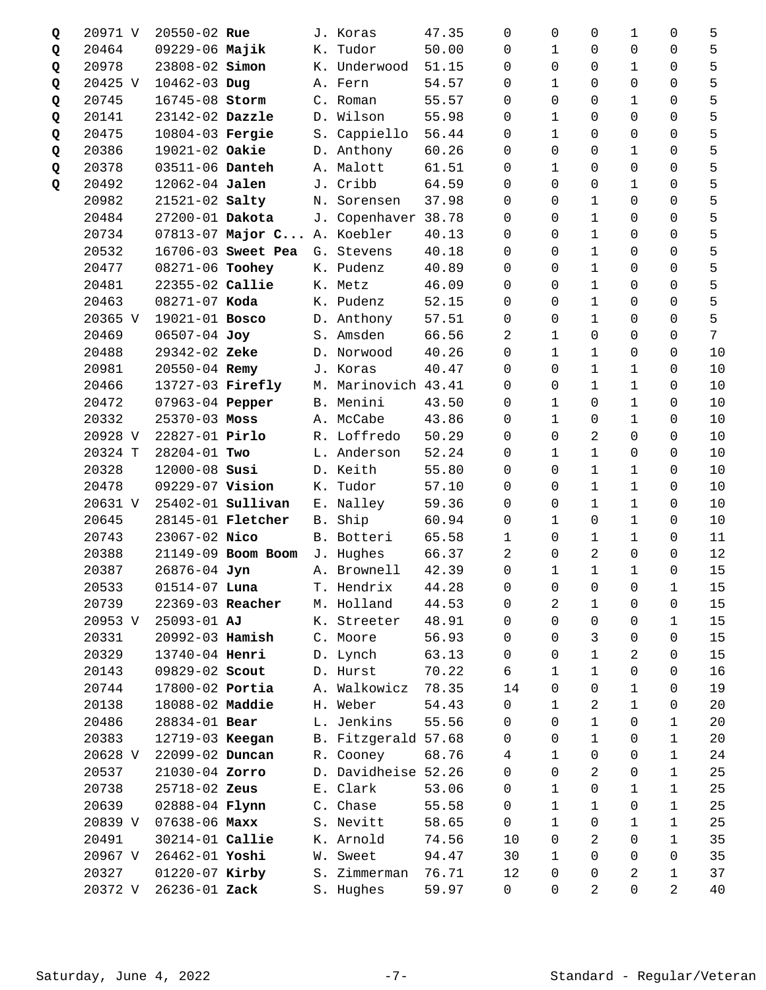| Q | 20971 V | 20550-02 Rue       |                             |    | J. Koras            | 47.35 | 0              | 0            | 0              | 1              | 0           | 5  |
|---|---------|--------------------|-----------------------------|----|---------------------|-------|----------------|--------------|----------------|----------------|-------------|----|
| Q | 20464   | 09229-06 Majik     |                             |    | K. Tudor            | 50.00 | $\Omega$       | 1            | 0              | 0              | 0           | 5  |
| Q | 20978   | 23808-02 Simon     |                             |    | K. Underwood        | 51.15 | $\Omega$       | $\Omega$     | 0              | 1              | $\Omega$    | 5  |
| Q | 20425 V | 10462-03 Dug       |                             |    | A. Fern             | 54.57 | 0              | $\mathbf{1}$ | 0              | 0              | 0           | 5  |
| Q | 20745   | 16745-08 Storm     |                             |    | C. Roman            | 55.57 | 0              | 0            | 0              | 1              | 0           | 5  |
| Q | 20141   | 23142-02 Dazzle    |                             |    | D. Wilson           | 55.98 | 0              | $\mathbf{1}$ | $\Omega$       | 0              | 0           | 5  |
| Q | 20475   | 10804-03 Fergie    |                             |    | S. Cappiello        | 56.44 | $\Omega$       | 1            | 0              | 0              | 0           | 5  |
| Q | 20386   | 19021-02 Oakie     |                             |    | D. Anthony          | 60.26 | 0              | $\Omega$     | 0              | 1              | 0           | 5  |
| Q | 20378   | 03511-06 Danteh    |                             |    | A. Malott           | 61.51 | 0              | $\mathbf 1$  | $\mathbf 0$    | 0              | 0           | 5  |
| Q | 20492   | 12062-04 Jalen     |                             |    | J. Cribb            | 64.59 | 0              | $\Omega$     | 0              | $\mathbf{1}$   | 0           | 5  |
|   | 20982   | $21521 - 02$ Salty |                             |    | N. Sorensen         | 37.98 | 0              | $\Omega$     | 1              | 0              | 0           | 5  |
|   | 20484   | 27200-01 Dakota    |                             |    | J. Copenhaver 38.78 |       | 0              | $\Omega$     | $1\,$          | 0              | $\Omega$    | 5  |
|   | 20734   |                    | 07813-07 Major C A. Koebler |    |                     | 40.13 | 0              | 0            | $1\,$          | 0              | 0           | 5  |
|   | 20532   |                    | 16706-03 Sweet Pea          |    | G. Stevens          | 40.18 | 0              | $\Omega$     | 1              | 0              | 0           | 5  |
|   | 20477   | 08271-06 Toohey    |                             |    | K. Pudenz           | 40.89 | 0              | $\Omega$     | 1              | 0              | 0           | 5  |
|   | 20481   | 22355-02 Callie    |                             |    | K. Metz             | 46.09 | 0              | $\Omega$     | $1\,$          | 0              | 0           | 5  |
|   | 20463   | 08271-07 Koda      |                             |    | K. Pudenz           | 52.15 | 0              | 0            | $1\,$          | 0              | 0           | 5  |
|   | 20365 V | 19021-01 Bosco     |                             |    | D. Anthony          | 57.51 | 0              | $\Omega$     | $1\,$          | 0              | 0           | 5  |
|   | 20469   | 06507-04 Joy       |                             |    | S. Amsden           | 66.56 | 2              | $\mathbf{1}$ | 0              | 0              | 0           | 7  |
|   | 20488   | 29342-02 Zeke      |                             |    | D. Norwood          | 40.26 | $\Omega$       | $\mathbf 1$  | 1              | 0              | 0           | 10 |
|   | 20981   | $20550 - 04$ Remy  |                             |    | J. Koras            | 40.47 | 0              | 0            | $1\,$          | 1              | 0           | 10 |
|   | 20466   | 13727-03 Firefly   |                             |    | M. Marinovich 43.41 |       | 0              | 0            | 1              | 1              | 0           | 10 |
|   | 20472   | 07963-04 Pepper    |                             |    | B. Menini           | 43.50 | 0              | 1            | 0              | 1              | 0           | 10 |
|   | 20332   | 25370-03 Moss      |                             |    | A. McCabe           | 43.86 | $\Omega$       | $\mathbf{1}$ | 0              | 1              | 0           | 10 |
|   | 20928 V | 22827-01 Pirlo     |                             |    | R. Loffredo         | 50.29 | 0              | $\Omega$     | 2              | 0              | 0           | 10 |
|   | 20324 T | 28204-01 Two       |                             |    | L. Anderson         | 52.24 | 0              | 1            | $\mathbf 1$    | 0              | 0           | 10 |
|   | 20328   | 12000-08 Susi      |                             |    | D. Keith            | 55.80 | $\Omega$       | $\Omega$     | $\mathbf 1$    | 1              | 0           | 10 |
|   | 20478   | 09229-07 Vision    |                             |    | K. Tudor            | 57.10 | 0              | $\Omega$     | 1              | 1              | 0           | 10 |
|   | 20631 V |                    | 25402-01 <b>Sullivan</b>    |    | E. Nalley           | 59.36 | 0              | 0            | $1\,$          | 1              | 0           | 10 |
|   | 20645   |                    | 28145-01 <b>Fletcher</b>    |    | B. Ship             | 60.94 | 0              | 1            | $\mathbf 0$    | $\mathbf{1}$   | 0           | 10 |
|   | 20743   | 23067-02 Nico      |                             |    | B. Botteri          | 65.58 | $\mathbf{1}$   | $\Omega$     | 1              | 1              | 0           | 11 |
|   | 20388   |                    | 21149-09 Boom Boom          |    | J. Hughes           | 66.37 | 2              | $\Omega$     | 2              | 0              | 0           | 12 |
|   | 20387   | 26876-04 Jyn       |                             |    | A. Brownell         | 42.39 | 0              | $\mathbf 1$  | $\mathbf{1}$   | $\mathbf 1$    | 0           | 15 |
|   | 20533   | $01514 - 07$ Luna  |                             |    | T. Hendrix          | 44.28 | $\overline{0}$ | $\mathsf{O}$ | $\overline{0}$ | $\mathsf{O}$   | 1           | 15 |
|   | 20739   | 22369-03 Reacher   |                             |    | M. Holland          | 44.53 | 0              | 2            | 1              | 0              | 0           | 15 |
|   | 20953 V | 25093-01 AJ        |                             | К. | Streeter            | 48.91 | 0              | $\Omega$     | $\mathbf 0$    | 0              | 1           | 15 |
|   | 20331   | 20992-03 Hamish    |                             |    | C. Moore            | 56.93 | $\Omega$       | $\Omega$     | 3              | 0              | 0           | 15 |
|   | 20329   | 13740-04 Henri     |                             |    | D. Lynch            | 63.13 | 0              | 0            | $\mathbf 1$    | $\overline{a}$ | 0           | 15 |
|   | 20143   | 09829-02 Scout     |                             |    | D. Hurst            | 70.22 | 6              | 1            | 1              | 0              | 0           | 16 |
|   | 20744   | 17800-02 Portia    |                             |    | A. Walkowicz        | 78.35 | 14             | $\Omega$     | 0              | 1              | 0           | 19 |
|   | 20138   | 18088-02 Maddie    |                             |    | H. Weber            | 54.43 | 0              | $\mathbf 1$  | 2              | 1              | 0           | 20 |
|   | 20486   | 28834-01 Bear      |                             |    | L. Jenkins          | 55.56 | 0              | 0            | 1              | 0              | $\mathbf 1$ | 20 |
|   | 20383   | 12719-03 Keegan    |                             |    | B. Fitzgerald 57.68 |       | 0              | $\Omega$     | 1              | 0              | 1           | 20 |
|   | 20628 V | 22099-02 Duncan    |                             |    | R. Cooney           | 68.76 | 4              | 1            | 0              | 0              | 1           | 24 |
|   | 20537   | 21030-04 Zorro     |                             |    | D. Davidheise 52.26 |       | $\Omega$       | $\Omega$     | 2              | 0              | 1           | 25 |
|   | 20738   | 25718-02 Zeus      |                             |    | E. Clark            | 53.06 | 0              | $\mathbf{1}$ | $\mathbf 0$    | 1              | $\mathbf 1$ | 25 |
|   | 20639   | 02888-04 Flynn     |                             |    | C. Chase            | 55.58 | $\Omega$       | $\mathbf{1}$ | 1              | 0              | $\mathbf 1$ | 25 |
|   | 20839 V | $07638 - 06$ Maxx  |                             |    | S. Nevitt           | 58.65 | $\Omega$       | $\mathbf{1}$ | 0              | $\mathbf{1}$   | $\mathbf 1$ | 25 |
|   | 20491   | 30214-01 Callie    |                             |    | K. Arnold           | 74.56 | 10             | $\Omega$     | 2              | 0              | 1           | 35 |
|   | 20967 V | 26462-01 Yoshi     |                             | W. | Sweet               | 94.47 | 30             | $\mathbf{1}$ | $\mathbf 0$    | 0              | 0           | 35 |
|   | 20327   | 01220-07 Kirby     |                             |    | S. Zimmerman        | 76.71 | 12             | 0            | 0              | $\overline{a}$ | 1           | 37 |
|   | 20372 V | 26236-01 Zack      |                             |    | S. Hughes           | 59.97 | 0              | 0            | 2              | 0              | 2           | 40 |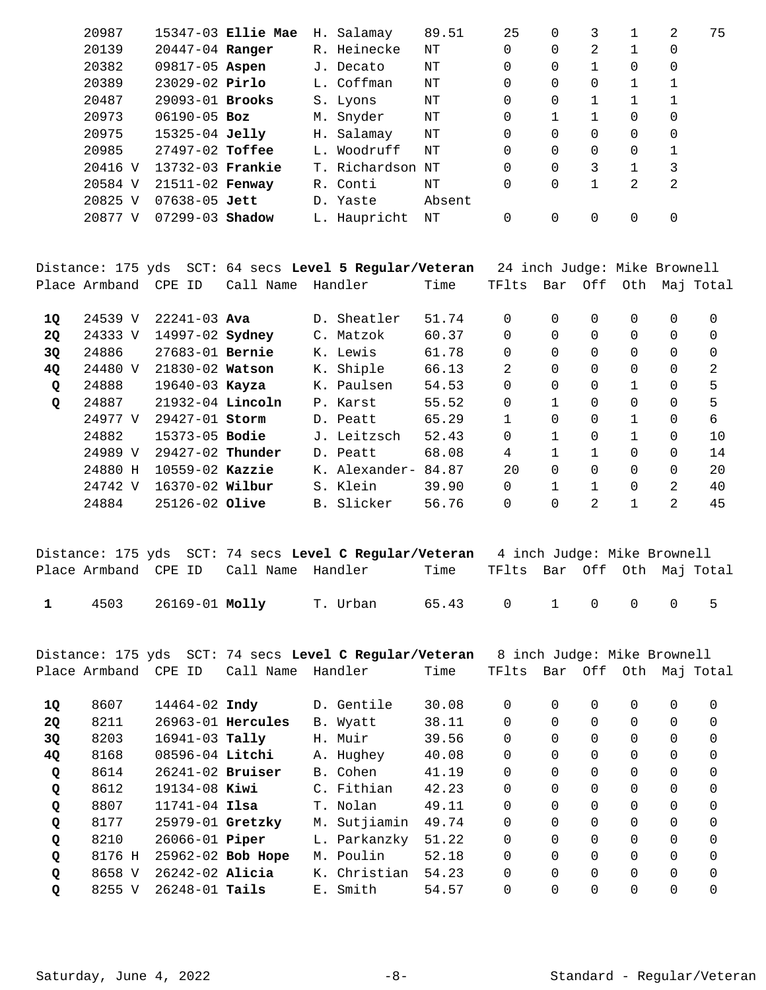| 20987   |                     | 15347-03 Ellie Mae | H. Salamay       | 89.51  | 25       |          |          |   | 2 | 75 |
|---------|---------------------|--------------------|------------------|--------|----------|----------|----------|---|---|----|
| 20139   | 20447-04 Ranger     |                    | R. Heinecke      | NΤ     | 0        | 0        | 2        |   | 0 |    |
| 20382   | 09817-05 Aspen      |                    | J. Decato        | NΤ     | 0        | 0        |          | 0 | 0 |    |
| 20389   | $23029 - 02$ Pirlo  |                    | L. Coffman       | NΤ     | 0        | 0        | 0        |   |   |    |
| 20487   | $29093 - 01$ Brooks |                    | S. Lyons         | NΤ     | 0        | 0        |          |   |   |    |
| 20973   | $06190 - 05$ Boz    |                    | M. Snyder        | NΤ     | 0        |          |          | 0 | 0 |    |
| 20975   | $15325 - 04$ Jelly  |                    | H. Salamay       | NΤ     | 0        | 0        | $\Omega$ | 0 | 0 |    |
| 20985   | $27497 - 02$ Toffee |                    | L. Woodruff      | NΤ     | 0        | $\Omega$ | $\Omega$ | 0 | 1 |    |
| 20416 V | 13732-03 Frankie    |                    | T. Richardson NT |        | 0        | $\Omega$ | 3        |   | 3 |    |
| 20584 V | $21511 - 02$ Fenway |                    | R. Conti         | ΝT     | 0        | 0        |          | 2 | 2 |    |
| 20825 V | 07638-05 Jett       |                    | D. Yaste         | Absent |          |          |          |   |   |    |
| 20877 V | $07299 - 03$ Shadow |                    | L. Haupricht     | NΤ     | $\Omega$ | 0        |          | 0 |   |    |
|         |                     |                    |                  |        |          |          |          |   |   |    |

|              |               |                        |           | Distance: 175 yds  SCT: 64 secs <b>Level 5 Regular/Veteran</b> |       | 24 inch Judge: Mike Brownell |              |              |              |                |           |
|--------------|---------------|------------------------|-----------|----------------------------------------------------------------|-------|------------------------------|--------------|--------------|--------------|----------------|-----------|
|              | Place Armband | CPE ID                 | Call Name | Handler                                                        | Time  | TFlts                        | Bar          | Off          | Oth          |                | Maj Total |
|              |               |                        |           |                                                                |       |                              |              |              |              |                |           |
| 1Q           | 24539 V       | $22241 - 03$ Ava       |           | D. Sheatler                                                    | 51.74 | $\Omega$                     | $\Omega$     | $\Omega$     | 0            | 0              | $\Omega$  |
| <b>20</b>    | 24333 V       | 14997-02 <b>Sydney</b> |           | C. Matzok                                                      | 60.37 | $\Omega$                     | $\Omega$     | $\Omega$     | $\Omega$     | $\Omega$       | $\Omega$  |
| 3Q           | 24886         | $27683 - 01$ Bernie    |           | K. Lewis                                                       | 61.78 | $\overline{0}$               | $\Omega$     | $\Omega$     | 0            | 0              | $\Omega$  |
| <b>40</b>    | 24480 V       | 21830-02 Watson        |           | K. Shiple                                                      | 66.13 | 2                            | $\Omega$     | $\Omega$     | $\Omega$     | $\Omega$       | 2         |
| Q            | 24888         | $19640 - 03$ Kayza     |           | K. Paulsen                                                     | 54.53 | $\Omega$                     | $\Omega$     | $\Omega$     | $\mathbf{1}$ | $\Omega$       | 5         |
| $\mathbf{Q}$ | 24887         | $21932-04$ Lincoln     |           | P. Karst                                                       | 55.52 | $\Omega$                     |              | $\Omega$     | $\Omega$     | $\Omega$       | 5         |
|              | 24977 V       | 29427-01 Storm         |           | D. Peatt                                                       | 65.29 | $\mathbf{1}$                 | $\Omega$     | $\Omega$     | 1            | $\Omega$       | 6         |
|              | 24882         | 15373-05 <b>Bodie</b>  |           | J. Leitzsch                                                    | 52.43 | $\Omega$                     |              | $\Omega$     | $\mathbf{1}$ | $\Omega$       | 10        |
|              | 24989 V       | $29427-02$ Thunder     |           | D. Peatt                                                       | 68.08 | 4                            |              | 1            | 0            | $\Omega$       | 14        |
|              | 24880 H       | $10559-02$ Kazzie      |           | K. Alexander-                                                  | 84.87 | 20                           | $\Omega$     |              | 0            | 0              | 20        |
|              | 24742 V       | 16370-02 Wilbur        |           | S. Klein                                                       | 39.90 | $\Omega$                     | $\mathbf{1}$ | $\mathbf{1}$ | 0            | $\mathfrak{D}$ | 40        |
|              | 24884         | $25126 - 02$ Olive     |           | B. Slicker                                                     | 56.76 | 0                            | 0            | 2            | 1            | 2              | 45        |
|              |               |                        |           |                                                                |       |                              |              |              |              |                |           |

|  |                     |                                        | Distance: 175 yds SCT: 74 secs Level C Regular/Veteran 4 inch Judge: Mike Brownell |                                  |  |  |  |
|--|---------------------|----------------------------------------|------------------------------------------------------------------------------------|----------------------------------|--|--|--|
|  |                     | Place Armband CPE ID Call Name Handler |                                                                                    | Time TFlts Bar Off Oth Maj Total |  |  |  |
|  | 4503 26169-01 Molly |                                        | T. Urban                                                                           | 65.43 0 1 0 0 0 5                |  |  |  |

Distance: 175 yds SCT: 74 secs **Level C Regular/Veteran** 8 inch Judge: Mike Brownell Place Armband CPE ID Call Name Handler Time TFlts Bar Off Oth Maj Total 8607 14464-02 D. Gentile 30.08 0 0 0 0 0 0 **1Q Indy** 

| ∸⊻        | , טטש  | TIINI ON THUY         |                       | D. GCIILIL   | <u>JU . UU</u> | ◡        | $\mathbf{u}$ | ◡ | ◡        | ◡        |          |
|-----------|--------|-----------------------|-----------------------|--------------|----------------|----------|--------------|---|----------|----------|----------|
| <b>2Q</b> | 8211   |                       | $26963 - 01$ Hercules | B. Wyatt     | 38.11          | 0        |              | 0 | 0        |          |          |
| 3Q        | 8203   | $16941 - 03$ Tally    |                       | H. Muir      | 39.56          | $\Omega$ | 0            | 0 | 0        | 0        | $\Omega$ |
| 4Q        | 8168   | 08596-04 Litchi       |                       | A. Hughey    | 40.08          | 0        | $\Omega$     | 0 | $\Omega$ | 0        | $\Omega$ |
| Q         | 8614   | $26241 - 02$ Bruiser  |                       | B. Cohen     | 41.19          | 0        | $\Omega$     | 0 | 0        | 0        |          |
| Q         | 8612   | 19134-08 Kiwi         |                       | C. Fithian   | 42.23          | 0        |              | 0 | $\Omega$ | 0        | $\Omega$ |
| Q         | 8807   | $11741 - 04$ Ilsa     |                       | T. Nolan     | 49.11          | 0        | $\Omega$     | 0 | 0        | 0        | $\Omega$ |
| Q         | 8177   | 25979-01 Gretzky      |                       | M. Sutjiamin | 49.74          | 0        |              | 0 | $\Omega$ | 0        | $\Omega$ |
| Q         | 8210   | 26066-01 <b>Piper</b> |                       | L. Parkanzky | 51.22          | 0        | $\Omega$     | 0 | 0        | 0        |          |
| Q         | 8176 H |                       | 25962-02 Bob Hope     | M. Poulin    | 52.18          | 0        |              | 0 | $\Omega$ | $\Omega$ | $\Omega$ |
| Q         | 8658 V | 26242-02 Alicia       |                       | K. Christian | 54.23          | 0        | $\Omega$     | 0 | $\Omega$ | 0        | 0        |
| Q         | 8255 V | $26248 - 01$ Tails    |                       | E. Smith     | 54.57          | 0        |              | 0 | 0        | 0        | 0        |
|           |        |                       |                       |              |                |          |              |   |          |          |          |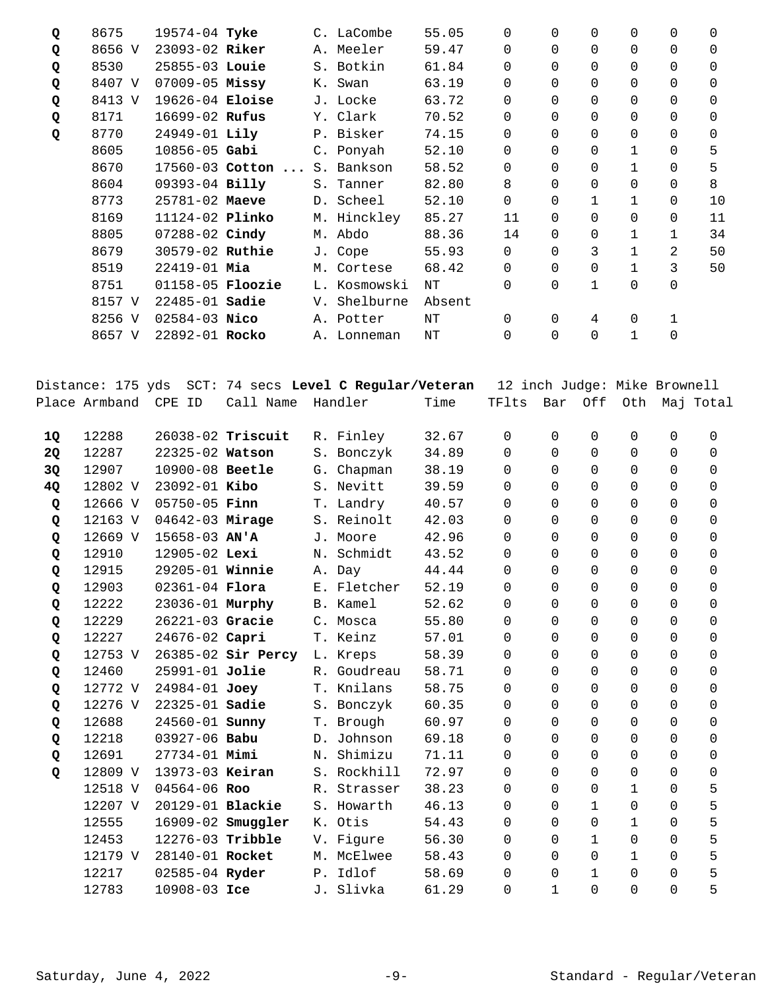| Q         | 8675          | 19574-04 Tyke           |                                                                             |    | C. LaCombe   | 55.05     | 0                                     | $\Omega$    | $\Omega$       | 0            | 0        | 0           |
|-----------|---------------|-------------------------|-----------------------------------------------------------------------------|----|--------------|-----------|---------------------------------------|-------------|----------------|--------------|----------|-------------|
| Q         | 8656 V        | 23093-02 Riker          |                                                                             |    | A. Meeler    | 59.47     | $\Omega$                              | $\Omega$    | 0              | 0            | 0        | 0           |
| Q         | 8530          | 25855-03 Louie          |                                                                             |    | S. Botkin    | 61.84     | 0                                     | $\Omega$    | 0              | 0            | 0        | 0           |
| Q         | 8407 V        | 07009-05 Missy          |                                                                             |    | K. Swan      | 63.19     | 0                                     | $\mathbf 0$ | 0              | 0            | 0        | 0           |
| Q         | 8413 V        | 19626-04 Eloise         |                                                                             |    | J. Locke     | 63.72     | 0                                     | $\Omega$    | $\Omega$       | 0            | 0        | 0           |
| Q         | 8171          | 16699-02 Rufus          |                                                                             |    | Y. Clark     | 70.52     | 0                                     | $\Omega$    | 0              | 0            | 0        | 0           |
| Q         | 8770          | 24949-01 Lily           |                                                                             |    | P. Bisker    | 74.15     | 0                                     | $\Omega$    | 0              | 0            | 0        | 0           |
|           | 8605          | $10856 - 05$ Gabi       |                                                                             |    | C. Ponyah    | 52.10     | 0                                     | 0           | 0              | 1            | 0        | 5           |
|           | 8670          |                         | 17560-03 Cotton                                                             |    | S. Bankson   | 58.52     | 0                                     | 0           | 0              | 1            | 0        | 5           |
|           | 8604          | 09393-04 Billy          |                                                                             |    | S. Tanner    | 82.80     | 8                                     | $\Omega$    | 0              | 0            | 0        | 8           |
|           | 8773          | 25781-02 Maeve          |                                                                             |    | D. Scheel    | 52.10     | $\mathsf{O}$                          | $\Omega$    | 1              | 1            | 0        | 10          |
|           | 8169          | 11124-02 Plinko         |                                                                             |    | M. Hinckley  | 85.27     | 11                                    | 0           | $\mathbf 0$    | 0            | 0        | 11          |
|           | 8805          | 07288-02 Cindy          |                                                                             |    | M. Abdo      | 88.36     | 14                                    | $\Omega$    | 0              | 1            | 1        | 34          |
|           | 8679          | 30579-02 Ruthie         |                                                                             |    | J. Cope      | 55.93     | 0                                     | $\Omega$    | 3              | $\mathbf{1}$ | 2        | 50          |
|           | 8519          | 22419-01 Mia            |                                                                             |    | M. Cortese   | 68.42     | $\mathbf 0$                           | $\Omega$    | 0              | $\mathbf{1}$ | 3        | 50          |
|           | 8751          | 01158-05 <b>Floozie</b> |                                                                             |    | L. Kosmowski | NT        | $\Omega$                              | $\Omega$    | $\mathbf{1}$   | 0            | 0        |             |
|           | 8157 V        | 22485-01 Sadie          |                                                                             |    | V. Shelburne | Absent    |                                       |             |                |              |          |             |
|           | 8256 V        | $02584 - 03$ Nico       |                                                                             |    | A. Potter    | $\rm{NT}$ | 0                                     | $\mathbf 0$ | 4              | 0            | 1        |             |
|           | 8657 V        | 22892-01 Rocko          |                                                                             |    | A. Lonneman  | $\rm{NT}$ | $\Omega$                              | $\Omega$    | $\Omega$       | $\mathbf{1}$ | 0        |             |
|           | Place Armband | CPE ID                  | Distance: 175 yds  SCT: 74 secs <b>Level C Regular/Veteran</b><br>Call Name |    | Handler      | Time      | 12 inch Judge: Mike Brownell<br>TFlts | Bar         | Off            | Oth          |          | Maj Total   |
|           |               |                         |                                                                             |    |              |           |                                       |             |                |              |          |             |
| 1Q        | 12288         |                         | 26038-02 Triscuit                                                           |    | R. Finley    | 32.67     | 0                                     | 0           | $\mathbf 0$    | 0            | 0        | 0           |
| <b>2Q</b> | 12287         | 22325-02 Watson         |                                                                             |    | S. Bonczyk   | 34.89     | 0                                     | $\Omega$    | 0              | 0            | 0        | $\mathbf 0$ |
| 3Q        | 12907         | 10900-08 Beetle         |                                                                             |    | G. Chapman   | 38.19     | $\mathbf 0$                           | $\Omega$    | $\Omega$       | 0            | 0        | 0           |
| 4Q        | 12802 V       | 23092-01 Kibo           |                                                                             |    | S. Nevitt    | 39.59     | 0                                     | $\Omega$    | $\Omega$       | 0            | $\Omega$ | 0           |
| Q         | 12666 V       | $05750 - 05$ Finn       |                                                                             |    | T. Landry    | 40.57     | 0                                     | $\mathbf 0$ | 0              | 0            | 0        | 0           |
| Q         | 12163 V       | 04642-03 Mirage         |                                                                             |    | S. Reinolt   | 42.03     | 0                                     | $\Omega$    | $\Omega$       | 0            | 0        | 0           |
| Q         | 12669 V       | 15658-03 AN'A           |                                                                             |    | J. Moore     | 42.96     | $\mathbf 0$                           | $\Omega$    | 0              | 0            | 0        | 0           |
| Q         | 12910         | 12905-02 Lexi           |                                                                             |    | N. Schmidt   | 43.52     | 0                                     | $\Omega$    | $\mathbf 0$    | 0            | 0        | 0           |
| Q         | 12915         | 29205-01 Winnie         |                                                                             |    | A. Day       | 44.44     | 0                                     | 0           | $\mathbf 0$    | 0            | 0        | 0           |
| Q         | 12903         | 02361-04 Flora          |                                                                             |    | E. Fletcher  | 52.19     | $\mathsf{O}\xspace$                   | 0           | $\mathbf 0$    | 0            | 0        | $\mathbf 0$ |
| Q         | 12222         | 23036-01 Murphy         |                                                                             |    | B. Kamel     | 52.62     | 0                                     | 0           | 0              | 0            | 0        | 0           |
| Q         | 12229         | 26221-03 Gracie         |                                                                             |    | C. Mosca     | 55.80     | 0                                     | $\Omega$    | 0              | 0            | 0        | 0           |
| Q         | 12227         | 24676-02 Capri          |                                                                             |    | T. Keinz     | 57.01     | 0                                     | $\Omega$    | $\overline{0}$ | 0            | 0        | 0           |
| Q         | 12753 V       |                         | 26385-02 Sir Percy                                                          |    | L. Kreps     | 58.39     | 0                                     | $\Omega$    | $\Omega$       | 0            | 0        | 0           |
| Q         | 12460         | 25991-01 Jolie          |                                                                             | R. | Goudreau     | 58.71     | 0                                     | $\Omega$    | 0              | 0            | 0        | 0           |
| Q         | 12772 V       | 24984-01 Joey           |                                                                             |    | T. Knilans   | 58.75     | $\Omega$                              | $\Omega$    | 0              | 0            | 0        | 0           |
| Q         | 12276 V       | 22325-01 Sadie          |                                                                             |    | S. Bonczyk   | 60.35     | 0                                     | $\Omega$    | 0              | 0            | 0        | 0           |
| Q         | 12688         | 24560-01 <b>Sunny</b>   |                                                                             |    | T. Brough    | 60.97     | 0                                     | $\Omega$    | 0              | 0            | 0        | 0           |
| Q         | 12218         | 03927-06 Babu           |                                                                             |    | D. Johnson   | 69.18     | 0                                     | $\Omega$    | 0              | 0            | 0        | 0           |
| Q         | 12691         | 27734-01 Mimi           |                                                                             |    | N. Shimizu   | 71.11     | 0                                     | $\Omega$    | 0              | 0            | 0        | 0           |
| Q         | 12809 V       | 13973-03 Keiran         |                                                                             |    | S. Rockhill  | 72.97     | 0                                     | $\Omega$    | $\overline{0}$ | 0            | 0        | 0           |
|           | 12518 V       | 04564-06 Roo            |                                                                             |    | R. Strasser  | 38.23     | 0                                     | $\Omega$    | $\mathbf 0$    | 1            | 0        | 5           |
|           | 12207 V       | 20129-01 Blackie        |                                                                             |    | S. Howarth   | 46.13     | 0                                     | $\Omega$    | $\mathbf{1}$   | 0            | 0        | 5           |
|           | 12555         |                         | 16909-02 <b>Smuggler</b>                                                    |    | K. Otis      | 54.43     | $\Omega$                              | $\Omega$    | 0              | 1            | 0        | 5           |
|           | 12453         | 12276-03 Tribble        |                                                                             |    | V. Figure    | 56.30     | 0                                     | $\Omega$    | $\mathbf{1}$   | 0            | 0        | 5           |
|           | 12179 V       | 28140-01 Rocket         |                                                                             |    | M. McElwee   | 58.43     | 0                                     | 0           | $\overline{0}$ | 1            | 0        | 5           |
|           | 12217         | 02585-04 Ryder          |                                                                             | Ρ. | Idlof        | 58.69     | 0                                     | 0           | 1              | 0            | 0        | 5           |
|           | 12783         | 10908-03 Ice            |                                                                             | J. | Slivka       | 61.29     | 0                                     | 1           | 0              | 0            | 0        | 5           |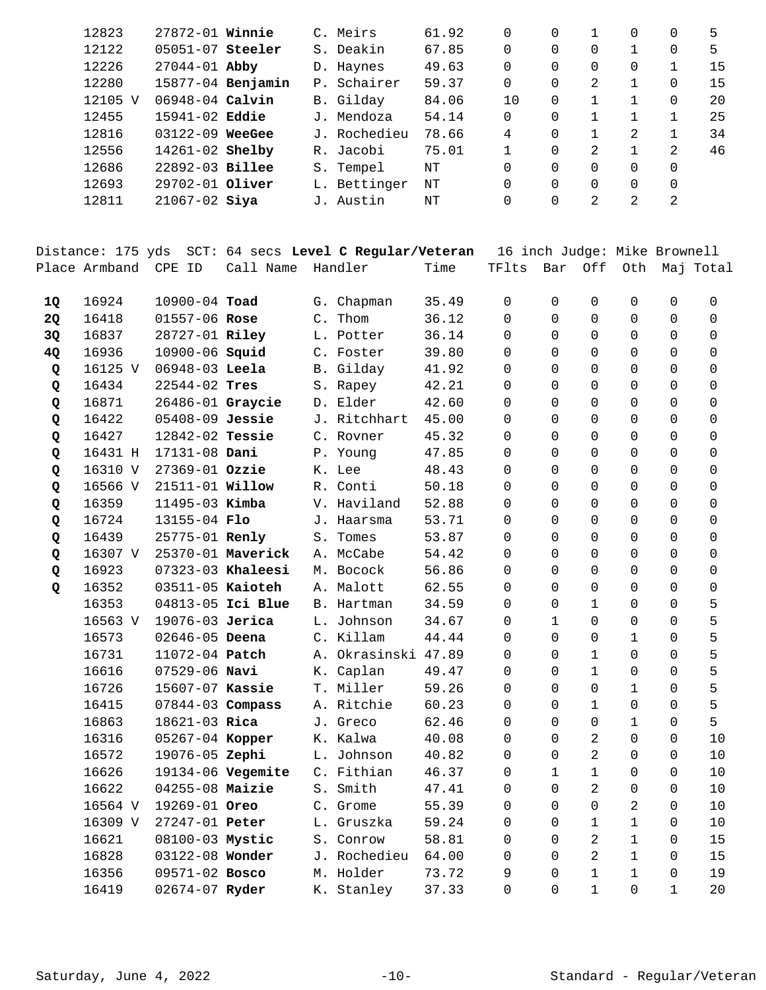| 12823   | $27872 - 01$ Winnie |                   |     | C. Meirs     | 61.92 | $\Omega$ | 0        |               | 0 | 0        | 5  |
|---------|---------------------|-------------------|-----|--------------|-------|----------|----------|---------------|---|----------|----|
| 12122   | $05051-07$ Steeler  |                   |     | S. Deakin    | 67.85 | 0        | $\Omega$ |               |   | 0        | 5  |
| 12226   | $27044 - 01$ Abby   |                   |     | D. Haynes    | 49.63 | 0        | $\Omega$ |               | 0 |          | 15 |
| 12280   |                     | 15877-04 Benjamin |     | P. Schairer  | 59.37 | 0        | $\Omega$ | 2             |   | 0        | 15 |
| 12105 V | 06948-04 Calvin     |                   |     | B. Gilday    | 84.06 | 10       | $\Omega$ |               |   | 0        | 20 |
| 12455   | $15941 - 02$ Eddie  |                   |     | J. Mendoza   | 54.14 | 0        | $\Omega$ |               |   |          | 25 |
| 12816   | $03122 - 09$        | WeeGee            | J., | Rochedieu    | 78.66 | 4        | $\Omega$ |               | 2 |          | 34 |
| 12556   | $14261 - 02$ Shelby |                   | R.  | Jacobi       | 75.01 |          | $\Omega$ | $\mathcal{L}$ |   | 2        | 46 |
| 12686   | 22892-03 Billee     |                   |     | S. Tempel    | NΤ    | 0        | $\Omega$ | 0             | 0 | 0        |    |
| 12693   | 29702-01 Oliver     |                   |     | L. Bettinger | NΤ    | 0        | $\Omega$ |               | 0 | $\Omega$ |    |
| 12811   | $21067 - 02$ Siya   |                   | J.  | Austin       | NΤ    | 0        | 0        | 2             | 2 | 2        |    |
|         |                     |                   |     |              |       |          |          |               |   |          |    |

|           | Distance: 175 yds |                        |                   |               | SCT: 64 secs Level C Regular/Veteran |       | 16 inch Judge: Mike Brownell |             |                |                     |          |           |
|-----------|-------------------|------------------------|-------------------|---------------|--------------------------------------|-------|------------------------------|-------------|----------------|---------------------|----------|-----------|
|           | Place Armband     | CPE ID                 | Call Name         |               | Handler                              | Time  | TFlts                        | Bar         | Off            | Oth                 |          | Maj Total |
| 1Q        | 16924             | 10900-04 Toad          |                   | G.            | Chapman                              | 35.49 | 0                            | 0           | 0              | 0                   | 0        | 0         |
| <b>2Q</b> | 16418             | 01557-06 Rose          |                   | $C_{\bullet}$ | Thom                                 | 36.12 | 0                            | $\Omega$    | 0              | 0                   | 0        | 0         |
| 3Q        | 16837             | 28727-01 Riley         |                   |               | L. Potter                            | 36.14 | $\Omega$                     | $\Omega$    | 0              | 0                   | 0        | 0         |
| 4Q        | 16936             | 10900-06 Squid         |                   |               | C. Foster                            | 39.80 | $\Omega$                     | $\Omega$    | $\Omega$       | 0                   | $\Omega$ | 0         |
| Q         | 16125 V           | $06948-03$ Leela       |                   |               | B. Gilday                            | 41.92 | $\Omega$                     | $\Omega$    | 0              | 0                   | 0        | 0         |
| Q         | 16434             | 22544-02 Tres          |                   |               | S. Rapey                             | 42.21 | 0                            | $\Omega$    | 0              | $\mathbf 0$         | 0        | 0         |
| Q         | 16871             | 26486-01 Graycie       |                   |               | D. Elder                             | 42.60 | 0                            | $\Omega$    | 0              | 0                   | 0        | 0         |
| Q         | 16422             | 05408-09 Jessie        |                   |               | J. Ritchhart                         | 45.00 | 0                            | $\Omega$    | 0              | 0                   | 0        | 0         |
| Q         | 16427             | $12842 - 02$ Tessie    |                   |               | C. Rovner                            | 45.32 | 0                            | $\Omega$    | 0              | 0                   | $\Omega$ | 0         |
| Q         | 16431 H           | 17131-08 Dani          |                   |               | P. Young                             | 47.85 | $\Omega$                     | $\Omega$    | 0              | 0                   | 0        | 0         |
| Q         | 16310 V           | 27369-01 Ozzie         |                   |               | K. Lee                               | 48.43 | $\Omega$                     | $\Omega$    | 0              | 0                   | 0        | 0         |
| Q         | 16566 V           | 21511-01 <b>Willow</b> |                   |               | R. Conti                             | 50.18 | 0                            | $\Omega$    | $\Omega$       | $\Omega$            | $\Omega$ | $\Omega$  |
| Q         | 16359             | 11495-03 Kimba         |                   |               | V. Haviland                          | 52.88 | $\Omega$                     | $\Omega$    | 0              | 0                   | 0        | 0         |
| Q         | 16724             | 13155-04 Flo           |                   |               | J. Haarsma                           | 53.71 | $\Omega$                     | $\Omega$    | 0              | 0                   | 0        | 0         |
| Q         | 16439             | 25775-01 Renly         |                   |               | S. Tomes                             | 53.87 | 0                            | $\Omega$    | 0              | 0                   | 0        | 0         |
| Q         | 16307 V           |                        | 25370-01 Maverick |               | A. McCabe                            | 54.42 | 0                            | $\Omega$    | $\Omega$       | 0                   | 0        | 0         |
| Q         | 16923             |                        | 07323-03 Khaleesi |               | M. Bocock                            | 56.86 | $\Omega$                     | $\Omega$    | 0              | 0                   | 0        | 0         |
| Q         | 16352             | 03511-05 Kaioteh       |                   |               | A. Malott                            | 62.55 | $\Omega$                     | $\Omega$    | 0              | $\Omega$            | $\Omega$ | $\Omega$  |
|           | 16353             |                        | 04813-05 Ici Blue |               | <b>B.</b> Hartman                    | 34.59 | 0                            | $\Omega$    | $\mathbf 1$    | 0                   | $\Omega$ | 5         |
|           | 16563 V           | 19076-03 Jerica        |                   |               | L. Johnson                           | 34.67 | 0                            | $\mathbf 1$ | $\Omega$       | $\Omega$            | $\Omega$ | 5         |
|           | 16573             | 02646-05 Deena         |                   |               | C. Killam                            | 44.44 | 0                            | $\Omega$    | 0              | 1                   | 0        | 5         |
|           | 16731             | 11072-04 Patch         |                   |               | A. Okrasinski                        | 47.89 | $\Omega$                     | $\Omega$    | 1              | 0                   | 0        | 5         |
|           | 16616             | $07529 - 06$ Navi      |                   |               | K. Caplan                            | 49.47 | 0                            | 0           | $\mathbf 1$    | 0                   | 0        | 5         |
|           | 16726             | 15607-07 Kassie        |                   |               | T. Miller                            | 59.26 | 0                            | $\Omega$    | 0              | 1                   | 0        | 5         |
|           | 16415             | 07844-03 Compass       |                   |               | A. Ritchie                           | 60.23 | 0                            | $\Omega$    | 1              | 0                   | 0        | 5         |
|           | 16863             | 18621-03 Rica          |                   | J.            | Greco                                | 62.46 | $\Omega$                     | $\Omega$    | 0              | 1                   | 0        | 5         |
|           | 16316             | 05267-04 Kopper        |                   |               | K. Kalwa                             | 40.08 | 0                            | $\Omega$    | 2              | 0                   | 0        | 10        |
|           | 16572             | 19076-05 Zephi         |                   |               | L. Johnson                           | 40.82 | 0                            | $\Omega$    | $\overline{c}$ | 0                   | 0        | 10        |
|           | 16626             |                        | 19134-06 Vegemite |               | C. Fithian                           | 46.37 | 0                            | $\mathbf 1$ | $\mathbf 1$    | 0                   | 0        | 10        |
|           | 16622             | $04255 - 08$ Maizie    |                   |               | S. Smith                             | 47.41 | $\Omega$                     | $\Omega$    | 2              | 0                   | 0        | 10        |
|           | 16564 V           | 19269-01 Oreo          |                   |               | C. Grome                             | 55.39 | 0                            | 0           | 0              | 2                   | 0        | 10        |
|           | 16309 V           | 27247-01 Peter         |                   |               | L. Gruszka                           | 59.24 | 0                            | 0           | 1              | $\mathbf 1$         | 0        | 10        |
|           | 16621             | 08100-03 Mystic        |                   |               | S. Conrow                            | 58.81 | 0                            | 0           | 2              | 1                   | 0        | 15        |
|           | 16828             | 03122-08 Wonder        |                   |               | J. Rochedieu                         | 64.00 | 0                            | 0           | 2              | 1                   | 0        | 15        |
|           | 16356             | 09571-02 Bosco         |                   |               | M. Holder                            | 73.72 | 9                            | 0           | $\mathbf 1$    | $\mathbf 1$         | 0        | 19        |
|           | 16419             | 02674-07 Ryder         |                   |               | K. Stanley                           | 37.33 | 0                            | 0           | $1\,$          | $\mathsf{O}\xspace$ | 1        | 20        |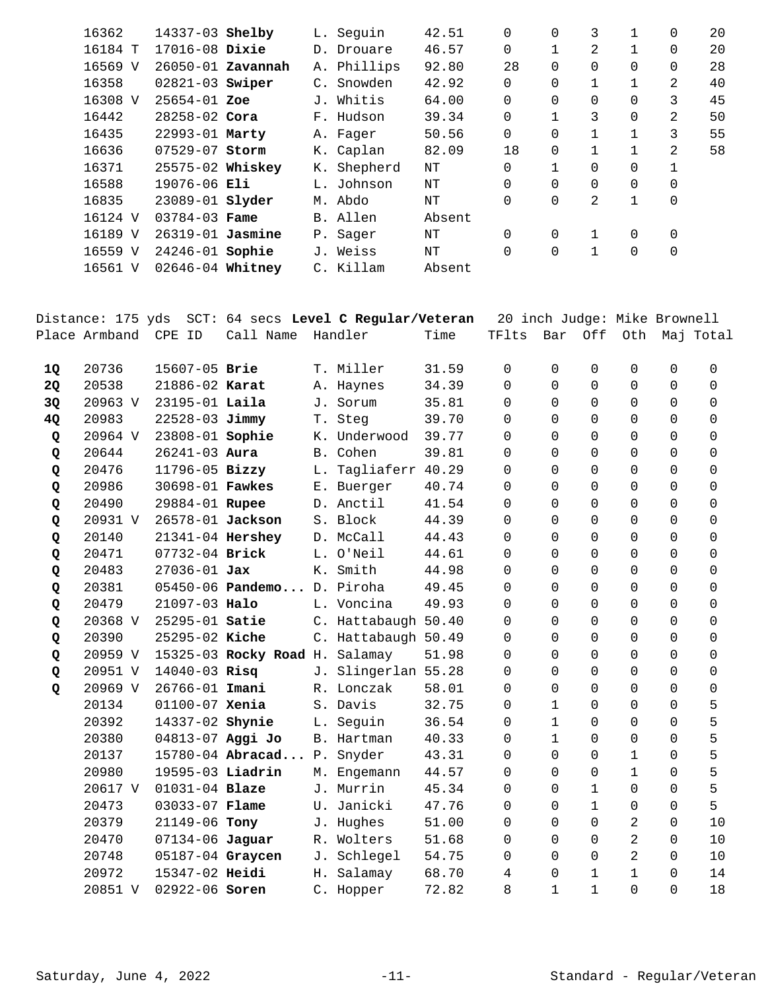| 16362   | 14337-03 Shelby        |                       | L. Sequin   | 42.51  | 0              | $\Omega$ | 3            | 1            | 0        | 20 |
|---------|------------------------|-----------------------|-------------|--------|----------------|----------|--------------|--------------|----------|----|
| 16184 T | $17016 - 08$ Dixie     |                       | D. Drouare  | 46.57  | 0              |          | 2            | 1            | 0        | 20 |
| 16569 V |                        | $26050 - 01$ Zavannah | A. Phillips | 92.80  | 28             | $\Omega$ | $\Omega$     | $\Omega$     | $\Omega$ | 28 |
| 16358   | $02821-03$ Swiper      |                       | C. Snowden  | 42.92  | 0              | 0        |              | 1            | 2        | 40 |
| 16308 V | $25654 - 01$ Zoe       |                       | J. Whitis   | 64.00  | $\overline{0}$ | $\Omega$ | $\Omega$     | $\Omega$     | 3        | 45 |
| 16442   | $28258 - 02$ Cora      |                       | F. Hudson   | 39.34  | $\overline{0}$ |          | 3            | 0            | 2        | 50 |
| 16435   | 22993-01 Marty         |                       | A. Fager    | 50.56  | 0              | $\Omega$ | 1            | 1            | 3        | 55 |
| 16636   | $07529 - 07$ Storm     |                       | K. Caplan   | 82.09  | 18             | $\Omega$ |              |              | 2        | 58 |
| 16371   | 25575-02 Whiskey       |                       | K. Shepherd | NΤ     | $\Omega$       |          | $\Omega$     | 0            | 1        |    |
| 16588   | $19076 - 06$ Eli       |                       | L. Johnson  | NΤ     | $\overline{0}$ | 0        | $\Omega$     | 0            | 0        |    |
| 16835   | 23089-01 <b>slyder</b> |                       | M. Abdo     | NΤ     | $\Omega$       | $\Omega$ | 2            | $\mathbf{1}$ | 0        |    |
| 16124 V | $03784 - 03$ Fame      |                       | B. Allen    | Absent |                |          |              |              |          |    |
| 16189 V | $26319-01$ Jasmine     |                       | P. Sager    | NΤ     | $\Omega$       | $\Omega$ | $\mathbf{1}$ | 0            | $\Omega$ |    |
| 16559 V | 24246-01 Sophie        |                       | J. Weiss    | NΤ     | $\overline{0}$ | 0        | $\mathbf{1}$ | 0            | 0        |    |
| 16561 V | 02646-04 Whitney       |                       | C. Killam   | Absent |                |          |              |              |          |    |
|         |                        |                       |             |        |                |          |              |              |          |    |

|    | Distance: 175 yds |                    |                                |    | SCT: 64 secs Level C Regular/Veteran |       | 20 inch Judge: Mike Brownell |              |              |              |          |             |
|----|-------------------|--------------------|--------------------------------|----|--------------------------------------|-------|------------------------------|--------------|--------------|--------------|----------|-------------|
|    | Place Armband     | CPE ID             | Call Name                      |    | Handler                              | Time  | TFlts                        | Bar          | Off          | Oth          |          | Maj Total   |
|    |                   |                    |                                |    |                                      |       |                              |              |              |              |          |             |
| 1Q | 20736             | 15607-05 Brie      |                                |    | T. Miller                            | 31.59 | $\Omega$                     | $\Omega$     | $\Omega$     | 0            | $\Omega$ | $\Omega$    |
| 2Q | 20538             | 21886-02 Karat     |                                |    | A. Haynes                            | 34.39 | $\Omega$                     | $\Omega$     | $\Omega$     | 0            | $\Omega$ | $\mathbf 0$ |
| 3Q | 20963 V           | 23195-01 Laila     |                                |    | J. Sorum                             | 35.81 | 0                            | 0            | $\mathbf 0$  | 0            | 0        | 0           |
| 4Q | 20983             | 22528-03 Jimmy     |                                |    | T. Steg                              | 39.70 | $\Omega$                     | $\Omega$     | $\Omega$     | 0            | $\Omega$ | 0           |
| Q  | 20964 V           | 23808-01 Sophie    |                                |    | K. Underwood                         | 39.77 | $\Omega$                     | $\Omega$     | $\Omega$     | 0            | 0        | $\Omega$    |
| Q  | 20644             | $26241 - 03$ Aura  |                                |    | B. Cohen                             | 39.81 | $\Omega$                     | $\Omega$     | $\Omega$     | 0            | $\Omega$ | $\Omega$    |
| Q  | 20476             | 11796-05 Bizzy     |                                | L. | Tagliaferr                           | 40.29 | 0                            | $\Omega$     | $\mathbf 0$  | 0            | 0        | 0           |
| Q  | 20986             | 30698-01 Fawkes    |                                |    | E. Buerger                           | 40.74 | $\Omega$                     | $\Omega$     | $\Omega$     | 0            | $\Omega$ | $\Omega$    |
| Q  | 20490             | 29884-01 Rupee     |                                |    | D. Anctil                            | 41.54 | $\Omega$                     | $\Omega$     | $\Omega$     | 0            | $\Omega$ | $\Omega$    |
| Q  | 20931 V           | 26578-01 Jackson   |                                |    | S. Block                             | 44.39 | 0                            | $\Omega$     | $\Omega$     | 0            | 0        | $\mathbf 0$ |
| Q  | 20140             | 21341-04 Hershey   |                                |    | D. McCall                            | 44.43 | 0                            | $\Omega$     | $\mathbf 0$  | 0            | 0        | 0           |
| Q  | 20471             | 07732-04 Brick     |                                |    | L. O'Neil                            | 44.61 | $\Omega$                     | $\Omega$     | $\Omega$     | 0            | $\Omega$ | 0           |
| Q  | 20483             | $27036 - 01$ Jax   |                                |    | K. Smith                             | 44.98 | $\Omega$                     | $\Omega$     | $\Omega$     | $\Omega$     | 0        | $\Omega$    |
| Q  | 20381             |                    | 05450-06 Pandemo D. Piroha     |    |                                      | 49.45 | $\Omega$                     | $\Omega$     | $\Omega$     | 0            | 0        | $\mathbf 0$ |
| Q  | 20479             | 21097-03 Halo      |                                |    | L. Voncina                           | 49.93 | $\Omega$                     | $\Omega$     | $\mathbf 0$  | 0            | 0        | 0           |
| Q  | 20368 V           | 25295-01 Satie     |                                |    | C. Hattabaugh 50.40                  |       | $\Omega$                     | $\Omega$     | $\Omega$     | 0            | $\Omega$ | $\Omega$    |
| Q  | 20390             | 25295-02 Kiche     |                                |    | C. Hattabaugh 50.49                  |       | $\Omega$                     | $\Omega$     | $\Omega$     | 0            | $\Omega$ | $\mathbf 0$ |
| Q  | 20959 V           |                    | 15325-03 Rocky Road H. Salamay |    |                                      | 51.98 | 0                            | $\Omega$     | $\mathbf 0$  | 0            | 0        | 0           |
| Q  | 20951 V           | $14040 - 03$ Risq  |                                |    | J. Slingerlan 55.28                  |       | $\Omega$                     | $\Omega$     | $\Omega$     | $\Omega$     | $\Omega$ | 0           |
| Q  | 20969 V           | 26766-01 Imani     |                                |    | R. Lonczak                           | 58.01 | $\Omega$                     | $\Omega$     | $\Omega$     | 0            | $\Omega$ | $\mathbf 0$ |
|    | 20134             | $01100 - 07$ Xenia |                                |    | S. Davis                             | 32.75 | $\Omega$                     | $\mathbf{1}$ | $\Omega$     | 0            | $\Omega$ | 5           |
|    | 20392             | 14337-02 Shynie    |                                |    | L. Seguin                            | 36.54 | 0                            | $\mathbf{1}$ | $\mathbf 0$  | 0            | 0        | 5           |
|    | 20380             | 04813-07 Aggi Jo   |                                |    | B. Hartman                           | 40.33 | $\Omega$                     | $\mathbf{1}$ | $\Omega$     | 0            | $\Omega$ | 5           |
|    | 20137             |                    | 15780-04 Abracad P.            |    | Snyder                               | 43.31 | $\Omega$                     | $\Omega$     | $\Omega$     | 1            | $\Omega$ | 5           |
|    | 20980             | 19595-03 Liadrin   |                                |    | M. Engemann                          | 44.57 | 0                            | $\Omega$     | $\Omega$     | 1            | $\Omega$ | 5           |
|    | 20617 V           | 01031-04 Blaze     |                                |    | J. Murrin                            | 45.34 | 0                            | 0            | $\mathbf 1$  | 0            | 0        | 5           |
|    | 20473             | 03033-07 Flame     |                                |    | U. Janicki                           | 47.76 | $\Omega$                     | $\Omega$     | $\mathbf 1$  | $\mathbf 0$  | $\Omega$ | 5           |
|    | 20379             | 21149-06 Tony      |                                |    | J. Hughes                            | 51.00 | $\Omega$                     | $\Omega$     | $\Omega$     | 2            | $\Omega$ | 10          |
|    | 20470             | 07134-06 Jaguar    |                                |    | R. Wolters                           | 51.68 | $\Omega$                     | $\Omega$     | $\Omega$     | 2            | 0        | 10          |
|    | 20748             | 05187-04 Graycen   |                                |    | J. Schlegel                          | 54.75 | 0                            | $\Omega$     | 0            | 2            | 0        | 10          |
|    | 20972             | 15347-02 Heidi     |                                | Н. | Salamay                              | 68.70 | 4                            | $\Omega$     | $\mathbf{1}$ | $\mathbf{1}$ | $\Omega$ | 14          |
|    | 20851 V           | 02922-06 Soren     |                                |    | C. Hopper                            | 72.82 | 8                            | $\mathbf{1}$ | $\mathbf{1}$ | $\Omega$     | $\Omega$ | 18          |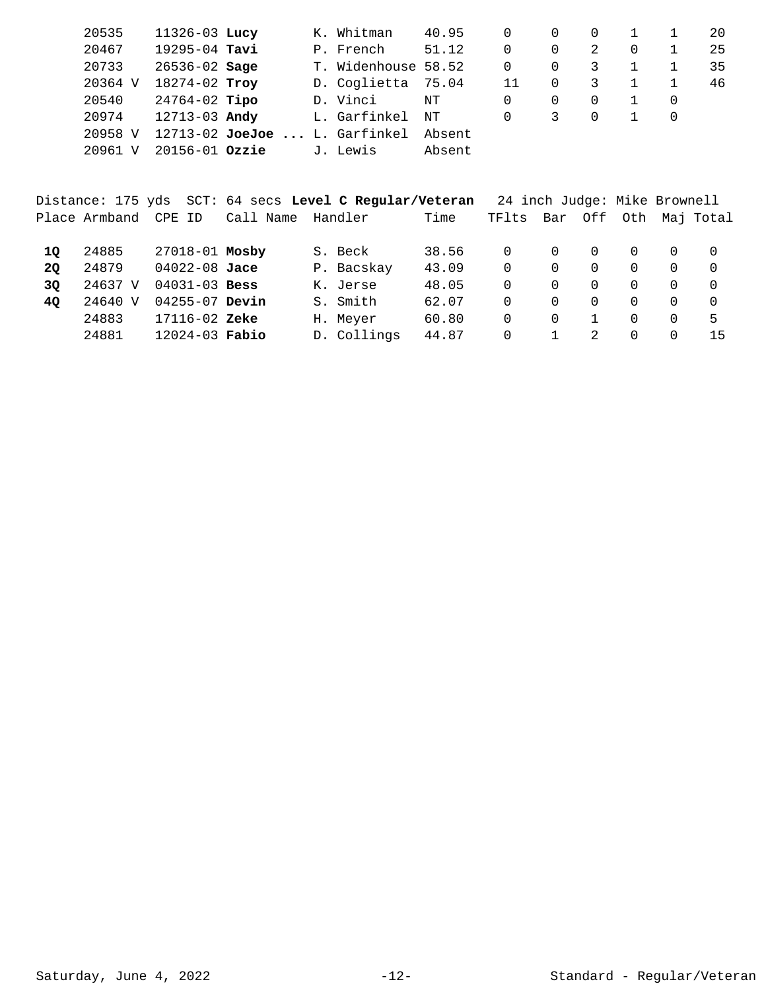| 20535   | $11326 - 03$ Lucy  |                                   | K. Whitman          | 40.95  |    |                  |    |   | 20 |
|---------|--------------------|-----------------------------------|---------------------|--------|----|------------------|----|---|----|
| 20467   | 19295-04 Tavi      |                                   | P. French           | 51.12  | 0  | 0                | 2  | 0 | 25 |
| 20733   | $26536 - 02$ Sage  |                                   | T. Widenhouse 58.52 |        | 0  | $\Omega$         | 3. |   | 35 |
| 20364 V | 18274-02 Troy      |                                   | D. Coglietta 75.04  |        | 11 | $\Omega$         | 3  |   | 46 |
| 20540   | $24764-02$ Tipo    |                                   | D. Vinci            | NΤ     | 0  | $\left( \right)$ |    |   |    |
| 20974   | 12713-03 Andy      |                                   | L. Garfinkel        | NΤ     | 0  | 3                |    |   |    |
| 20958 V |                    | $12713 - 02$ JoeJoe  L. Garfinkel |                     | Absent |    |                  |    |   |    |
| 20961   | $20156 - 01$ Ozzie |                                   | J. Lewis            | Absent |    |                  |    |   |    |

|    |                      |                    |                   | Distance: 175 yds SCT: 64 secs Level C Regular/Veteran |       | 24 inch Judge: Mike Brownell |          |             |          |          |                   |
|----|----------------------|--------------------|-------------------|--------------------------------------------------------|-------|------------------------------|----------|-------------|----------|----------|-------------------|
|    | Place Armband CPE ID |                    | Call Name Handler |                                                        | Time  | TFlts                        | Bar      |             |          |          | Off Oth Maj Total |
| 10 | 24885                | 27018-01 Mosby     |                   | S. Beck                                                | 38.56 | $\Omega$                     | $\Omega$ | $\Omega$    | $\Omega$ |          | 0                 |
| 20 | 24879                | 04022-08 Jace      |                   | P. Bacskay                                             | 43.09 | 0                            | 0        | $\Omega$    | $\Omega$ | 0        | - 0               |
| 30 | 24637 V              | $04031 - 03$ Bess  |                   | K. Jerse                                               | 48.05 | 0                            | 0        | $\Omega$    | 0        | 0        | $\Omega$          |
| 40 | 24640 V              | $04255 - 07$ Devin |                   | S. Smith                                               | 62.07 | 0                            | 0        | 0           | 0        |          |                   |
|    | 24883                | 17116-02 Zeke      |                   | H. Meyer                                               | 60.80 | 0                            | $\Omega$ |             | 0        | $\Omega$ | 5                 |
|    | 24881                | $12024 - 03$ Fabio |                   | D. Collings                                            | 44.87 | 0                            |          | $2^{\circ}$ | 0        |          | 15                |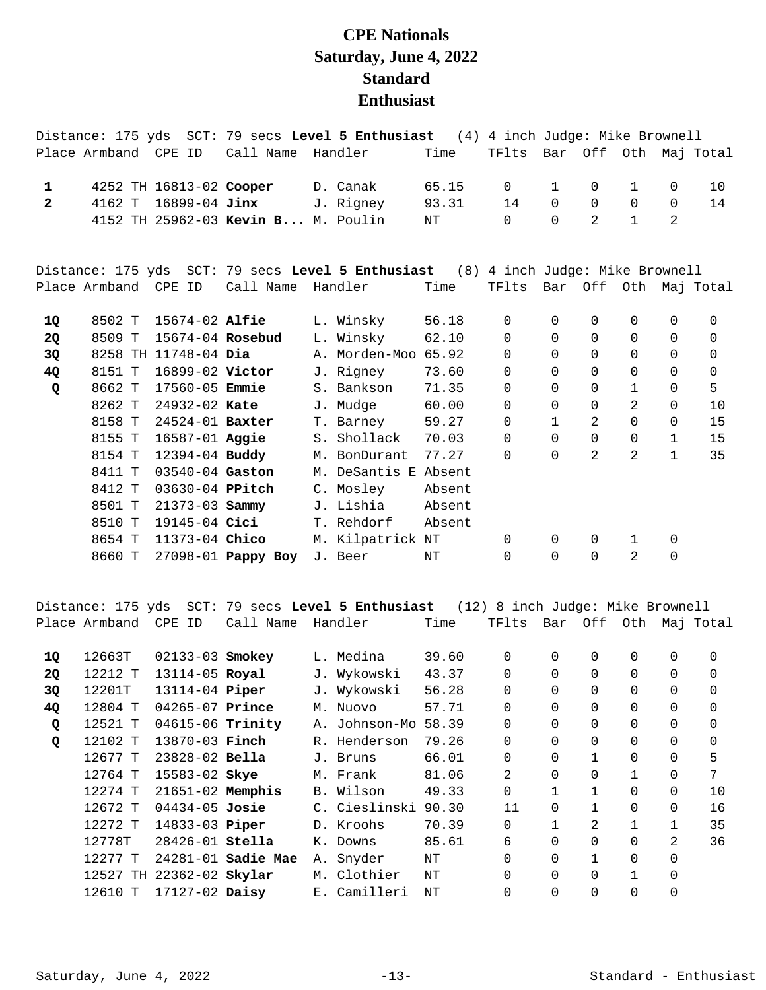## **CPE Nationals Saturday, June 4, 2022 Standard Enthusiast**

|                |                      |                       |                                    | Distance: 175 yds SCT: 79 secs Level 5 Enthusiast (4) 4 inch Judge: Mike Brownell |        |                |              |                |                |              |                       |
|----------------|----------------------|-----------------------|------------------------------------|-----------------------------------------------------------------------------------|--------|----------------|--------------|----------------|----------------|--------------|-----------------------|
|                | Place Armband CPE ID |                       | Call Name Handler                  |                                                                                   | Time   | TFlts          |              |                |                |              | Bar Off Oth Maj Total |
| $\mathbf{1}$   |                      |                       | 4252 TH 16813-02 Cooper            | D. Canak                                                                          | 65.15  | $\overline{0}$ | $\mathbf{1}$ | 0              | $\mathbf{1}$   | $\mathbf 0$  | 10                    |
| $\overline{2}$ | 4162 T               | 16899-04 Jinx         |                                    | J. Rigney                                                                         | 93.31  | 14             | $\Omega$     | $\Omega$       | $\mathbf 0$    | $\Omega$     | 14                    |
|                |                      |                       | 4152 TH 25962-03 Kevin B M. Poulin |                                                                                   | NT     | $\Omega$       | $\Omega$     | 2              | $\mathbf{1}$   | 2            |                       |
|                |                      |                       |                                    | Distance: 175 yds SCT: 79 secs Level 5 Enthusiast (8) 4 inch Judge: Mike Brownell |        |                |              |                |                |              |                       |
|                | Place Armband CPE ID |                       | Call Name                          | Handler                                                                           | Time   | TFlts          |              |                |                |              | Bar Off Oth Maj Total |
| 1Q             | 8502 T               | 15674-02 Alfie        |                                    | L. Winsky                                                                         | 56.18  | $\mathbf 0$    | $\mathbf 0$  | 0              | 0              | $\mathbf 0$  | 0                     |
| 2Q             | 8509 T               | 15674-04 Rosebud      |                                    | L. Winsky                                                                         | 62.10  | $\mathbf 0$    | $\mathbf 0$  | 0              | 0              | $\mathbf 0$  | 0                     |
| 3Q             |                      | 8258 TH 11748-04 Dia  |                                    | A. Morden-Moo 65.92                                                               |        | $\Omega$       | $\Omega$     | $\Omega$       | 0              | $\Omega$     | $\mathbf 0$           |
| 4Q             | 8151 T               | 16899-02 Victor       |                                    | J. Rigney                                                                         | 73.60  | 0              | 0            | 0              | 0              | 0            | 0                     |
| Q              | 8662 T               | 17560-05 <b>Emmie</b> |                                    | S. Bankson                                                                        | 71.35  | $\Omega$       | $\Omega$     | $\Omega$       | $\mathbf{1}$   | $\mathbf 0$  | 5                     |
|                | 8262 T               | 24932-02 Kate         |                                    | J. Mudge                                                                          | 60.00  | 0              | $\Omega$     | 0              | $\overline{2}$ | $\mathbf 0$  | 10                    |
|                | 8158 T               | 24524-01 Baxter       |                                    | T. Barney                                                                         | 59.27  | $\Omega$       | $\mathbf{1}$ | $\overline{2}$ | 0              | $\Omega$     | 15                    |
|                | 8155 T               | 16587-01 Aggie        |                                    | S. Shollack                                                                       | 70.03  | $\Omega$       | $\Omega$     | $\Omega$       | 0              | $\mathbf{1}$ | 15                    |
|                | 8154 T               | 12394-04 Buddy        |                                    | M. BonDurant                                                                      | 77.27  | $\Omega$       | $\Omega$     | $\overline{2}$ | $\overline{2}$ | $\mathbf{1}$ | 35                    |
|                | 8411 T               | 03540-04 Gaston       |                                    | M. DeSantis E Absent                                                              |        |                |              |                |                |              |                       |
|                | 8412 T               | 03630-04 PPitch       |                                    | C. Mosley                                                                         | Absent |                |              |                |                |              |                       |
|                | 8501 T               | 21373-03 Sammy        |                                    | J. Lishia                                                                         | Absent |                |              |                |                |              |                       |
|                | 8510 T               | 19145-04 Cici         |                                    | T. Rehdorf                                                                        | Absent |                |              |                |                |              |                       |
|                | 8654 T               | 11373-04 Chico        |                                    | M. Kilpatrick NT                                                                  |        | $\Omega$       | 0            | 0              | $\mathbf{1}$   | 0            |                       |
|                | 8660 T               |                       | 27098-01 Pappy Boy                 | J. Beer                                                                           | NT     | $\Omega$       | $\Omega$     | $\Omega$       | 2              | 0            |                       |

Distance: 175 yds SCT: 79 secs **Level 5 Enthusiast** (12) 8 inch Judge: Mike Brownell Place Armband CPE ID Call Name Handler Time TFlts Bar Off Oth Maj Total

| 1Q        | 12663T  | 02133-03 Smokey          |                    | L. Medina     | 39.60 | 0              | $\Omega$     | $\Omega$ | 0            | 0        | 0        |
|-----------|---------|--------------------------|--------------------|---------------|-------|----------------|--------------|----------|--------------|----------|----------|
| <b>2Q</b> | 12212 T | 13114-05 Royal           |                    | J. Wykowski   | 43.37 | $\overline{0}$ | $\Omega$     | $\Omega$ | $\Omega$     | $\Omega$ | $\Omega$ |
| 3Q        | 12201T  | 13114-04 <b>Piper</b>    |                    | J. Wykowski   | 56.28 | 0              | $\Omega$     | $\Omega$ | 0            | 0        | $\Omega$ |
| 4Q        | 12804 T | $04265 - 07$ Prince      |                    | M. Nuovo      | 57.71 | 0              | $\Omega$     | $\Omega$ | $\Omega$     | 0        | $\Omega$ |
| Q         | 12521 T | 04615-06 Trinity         |                    | A. Johnson-Mo | 58.39 | $\overline{0}$ | 0            | $\Omega$ | 0            | 0        | 0        |
| Q         | 12102 T | 13870-03 Finch           |                    | R. Henderson  | 79.26 | $\Omega$       | $\Omega$     | $\Omega$ | $\Omega$     | $\Omega$ | 0        |
|           | 12677 T | $23828 - 02$ Bella       |                    | J. Bruns      | 66.01 | 0              | $\Omega$     |          | 0            | $\Omega$ | 5        |
|           | 12764 T | 15583-02 Skye            |                    | M. Frank      | 81.06 | 2              | $\Omega$     | $\Omega$ | $\mathbf{1}$ | $\Omega$ | 7        |
|           | 12274 T | $21651-02$ Memphis       |                    | B. Wilson     | 49.33 | 0              |              | 1        | 0            | 0        | 10       |
|           | 12672 T | $04434 - 05$ Josie       |                    | C. Cieslinski | 90.30 | 11             | $\Omega$     | 1        | 0            | $\Omega$ | 16       |
|           | 12272 T | 14833-03 Piper           |                    | D. Kroohs     | 70.39 | 0              | $\mathbf{1}$ | 2        | $\mathbf{1}$ | 1        | 35       |
|           | 12778T  | 28426-01 Stella          |                    | K. Downs      | 85.61 | 6              | $\Omega$     | $\Omega$ | 0            | 2        | 36       |
|           | 12277 T |                          | 24281-01 Sadie Mae | A. Snyder     | NΤ    | $\Omega$       | $\Omega$     | 1        | 0            | 0        |          |
|           |         | 12527 TH 22362-02 Skylar |                    | M. Clothier   | NΤ    | $\Omega$       | $\Omega$     | $\Omega$ | $\mathbf{1}$ | $\Omega$ |          |
|           | 12610 T | $17127 - 02$ Daisy       |                    | E. Camilleri  | NΤ    | $\mathbf 0$    | $\Omega$     |          | 0            |          |          |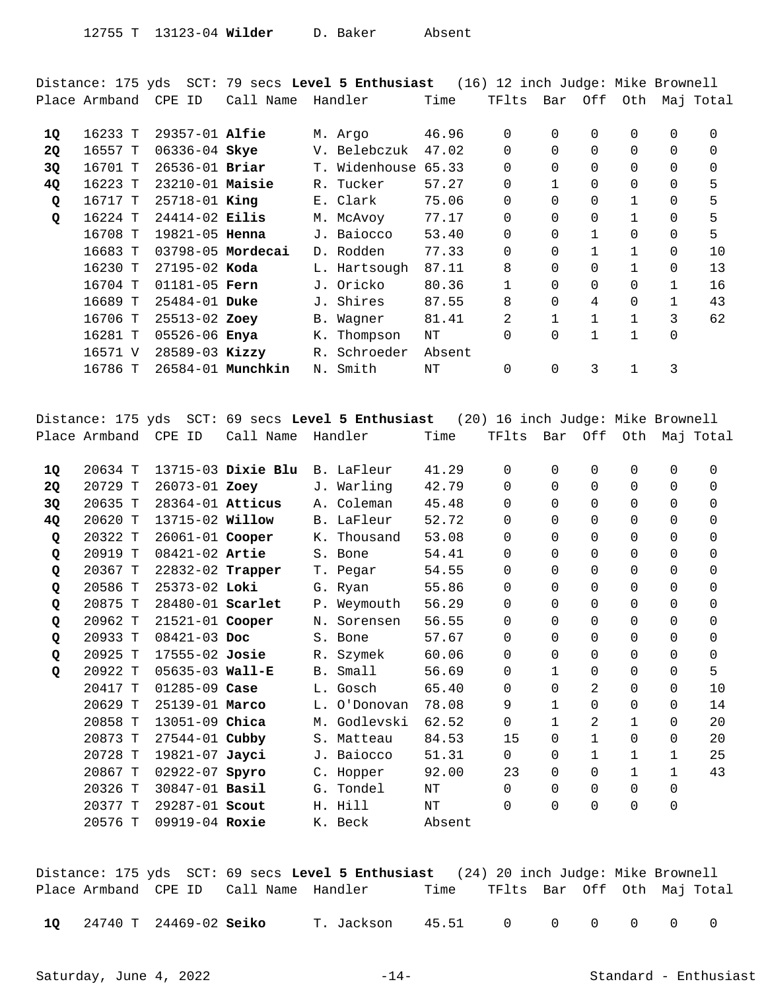Distance: 175 yds SCT: 79 secs **Level 5 Enthusiast** (16) 12 inch Judge: Mike Brownell Place Armband CPE ID Call Name Handler Time TFlts Bar Off Oth Maj Total

| 16233 T |  |                                                                                                                                                                                                                                                                                                              |            | 46.96                                                                                                                                                          | 0              | $\Omega$     | $\Omega$     | 0            | 0            | $\Omega$ |
|---------|--|--------------------------------------------------------------------------------------------------------------------------------------------------------------------------------------------------------------------------------------------------------------------------------------------------------------|------------|----------------------------------------------------------------------------------------------------------------------------------------------------------------|----------------|--------------|--------------|--------------|--------------|----------|
| 16557 T |  |                                                                                                                                                                                                                                                                                                              |            | 47.02                                                                                                                                                          | $\Omega$       | $\Omega$     |              | 0            | $\Omega$     | $\Omega$ |
| 16701 T |  | $T$ .                                                                                                                                                                                                                                                                                                        | Widenhouse | 65.33                                                                                                                                                          | 0              | $\Omega$     |              | 0            | $\Omega$     | 0        |
| 16223 T |  |                                                                                                                                                                                                                                                                                                              |            | 57.27                                                                                                                                                          | 0              |              | $\Omega$     | 0            | $\Omega$     | 5        |
| 16717 T |  |                                                                                                                                                                                                                                                                                                              |            | 75.06                                                                                                                                                          | $\Omega$       | $\Omega$     | $\Omega$     | $\mathbf{1}$ | $\Omega$     | 5        |
| 16224 T |  |                                                                                                                                                                                                                                                                                                              |            | 77.17                                                                                                                                                          | $\overline{0}$ | $\Omega$     | $\Omega$     |              | 0            | 5        |
| 16708 T |  |                                                                                                                                                                                                                                                                                                              |            | 53.40                                                                                                                                                          | $\Omega$       | $\Omega$     | $\mathbf{1}$ | 0            | $\Omega$     | 5        |
| 16683 T |  |                                                                                                                                                                                                                                                                                                              |            | 77.33                                                                                                                                                          | 0              | $\Omega$     |              | 1            | $\Omega$     | 10       |
| 16230 T |  |                                                                                                                                                                                                                                                                                                              |            | 87.11                                                                                                                                                          | 8              | $\Omega$     |              |              | $\Omega$     | 13       |
| 16704 T |  |                                                                                                                                                                                                                                                                                                              |            | 80.36                                                                                                                                                          | $\mathbf 1$    | $\Omega$     | $\Omega$     | 0            | $\mathbf{1}$ | 16       |
| 16689 T |  |                                                                                                                                                                                                                                                                                                              |            | 87.55                                                                                                                                                          | 8              | $\Omega$     | 4            | 0            |              | 43       |
| 16706 T |  |                                                                                                                                                                                                                                                                                                              | Waqner     | 81.41                                                                                                                                                          | 2              | $\mathbf{1}$ | 1            | $\mathbf{1}$ | 3            | 62       |
| 16281 T |  | К.                                                                                                                                                                                                                                                                                                           | Thompson   | NΤ                                                                                                                                                             | 0              | $\Omega$     | 1            | $\mathbf{1}$ | 0            |          |
| 16571 V |  |                                                                                                                                                                                                                                                                                                              |            | Absent                                                                                                                                                         |                |              |              |              |              |          |
| 16786 T |  |                                                                                                                                                                                                                                                                                                              | Smith      | NΤ                                                                                                                                                             | 0              | 0            | 3            |              | 3            |          |
|         |  | $29357 - 01$ Alfie<br>06336-04 Skye<br>26536-01 Briar<br>$23210-01$ Maisie<br>$25718 - 01$ King<br>$24414 - 02$ Eilis<br>$19821 - 05$ Henna<br>03798-05 Mordecai<br>$27195 - 02$ Koda<br>$01181 - 05$ Fern<br>$25484 - 01$ Duke<br>25513-02 Zoey<br>05526-06 Enya<br>$28589 - 03$ Kizzy<br>26584-01 Munchkin |            | M. Argo<br>V. Belebczuk<br>R. Tucker<br>E. Clark<br>M. McAvoy<br>J. Baiocco<br>D. Rodden<br>L. Hartsough<br>J. Oricko<br>J. Shires<br>B.<br>R. Schroeder<br>Ν. |                |              |              |              |              |          |

Distance: 175 yds SCT: 69 secs **Level 5 Enthusiast** (20) 16 inch Judge: Mike Brownell Place Armband CPE ID Call Name Handler Time TFlts Bar Off Oth Maj Total

|         |         |                                                                                                                                                                                                                                                                                                                                                                                                                                                 |                                                                                                                                                                                                                                                                                   | 0                   | 0        | $\Omega$       | $\Omega$     | 0            | 0        |
|---------|---------|-------------------------------------------------------------------------------------------------------------------------------------------------------------------------------------------------------------------------------------------------------------------------------------------------------------------------------------------------------------------------------------------------------------------------------------------------|-----------------------------------------------------------------------------------------------------------------------------------------------------------------------------------------------------------------------------------------------------------------------------------|---------------------|----------|----------------|--------------|--------------|----------|
| 20729 T |         |                                                                                                                                                                                                                                                                                                                                                                                                                                                 | 42.79                                                                                                                                                                                                                                                                             | $\Omega$            | $\Omega$ | $\Omega$       | 0            | $\Omega$     | 0        |
| 20635 T |         |                                                                                                                                                                                                                                                                                                                                                                                                                                                 | 45.48                                                                                                                                                                                                                                                                             | $\Omega$            | $\Omega$ | $\Omega$       | 0            | 0            | 0        |
| 20620 T |         |                                                                                                                                                                                                                                                                                                                                                                                                                                                 | 52.72                                                                                                                                                                                                                                                                             | $\Omega$            | $\Omega$ | $\Omega$       | $\Omega$     | $\Omega$     | $\Omega$ |
| 20322 T |         |                                                                                                                                                                                                                                                                                                                                                                                                                                                 | 53.08                                                                                                                                                                                                                                                                             | 0                   | $\Omega$ | 0              | 0            | 0            | 0        |
| 20919 T |         |                                                                                                                                                                                                                                                                                                                                                                                                                                                 | 54.41                                                                                                                                                                                                                                                                             | 0                   | $\Omega$ | $\Omega$       | 0            | $\Omega$     | $\Omega$ |
| 20367 T |         |                                                                                                                                                                                                                                                                                                                                                                                                                                                 | 54.55                                                                                                                                                                                                                                                                             | $\Omega$            | $\Omega$ | 0              | 0            | $\Omega$     | 0        |
| 20586 T |         |                                                                                                                                                                                                                                                                                                                                                                                                                                                 | 55.86                                                                                                                                                                                                                                                                             | 0                   | $\Omega$ | 0              | 0            | 0            | 0        |
| 20875 T |         |                                                                                                                                                                                                                                                                                                                                                                                                                                                 | 56.29                                                                                                                                                                                                                                                                             | $\Omega$            | $\Omega$ | $\Omega$       | $\Omega$     | $\Omega$     | 0        |
| 20962 T |         |                                                                                                                                                                                                                                                                                                                                                                                                                                                 | 56.55                                                                                                                                                                                                                                                                             | 0                   | $\Omega$ | $\Omega$       | 0            | 0            | 0        |
| 20933 T |         |                                                                                                                                                                                                                                                                                                                                                                                                                                                 | 57.67                                                                                                                                                                                                                                                                             | $\Omega$            | $\Omega$ | $\Omega$       | 0            | $\Omega$     | 0        |
| 20925 T |         |                                                                                                                                                                                                                                                                                                                                                                                                                                                 | 60.06                                                                                                                                                                                                                                                                             | 0                   | $\Omega$ | $\Omega$       | 0            | $\Omega$     | 0        |
| 20922 T |         |                                                                                                                                                                                                                                                                                                                                                                                                                                                 | 56.69                                                                                                                                                                                                                                                                             | 0                   |          | $\Omega$       | 0            | $\Omega$     | 5        |
| 20417 T |         |                                                                                                                                                                                                                                                                                                                                                                                                                                                 | 65.40                                                                                                                                                                                                                                                                             | 0                   | $\Omega$ | 2              | 0            | 0            | 10       |
| 20629 T |         |                                                                                                                                                                                                                                                                                                                                                                                                                                                 | 78.08                                                                                                                                                                                                                                                                             | 9                   |          | $\Omega$       | 0            | 0            | 14       |
| 20858 T |         |                                                                                                                                                                                                                                                                                                                                                                                                                                                 | 62.52                                                                                                                                                                                                                                                                             | 0                   |          | 2              | 1            | $\Omega$     | 20       |
| 20873 T |         |                                                                                                                                                                                                                                                                                                                                                                                                                                                 | 84.53                                                                                                                                                                                                                                                                             | 15                  | $\Omega$ |                | 0            | 0            | 20       |
| 20728 T |         |                                                                                                                                                                                                                                                                                                                                                                                                                                                 | 51.31                                                                                                                                                                                                                                                                             | $\Omega$            | $\Omega$ | $\mathbf{1}$   | $\mathbf{1}$ | $\mathbf{1}$ | 25       |
| 20867 T |         |                                                                                                                                                                                                                                                                                                                                                                                                                                                 | 92.00                                                                                                                                                                                                                                                                             | 23                  | $\Omega$ | 0              | $\mathbf{1}$ | $\mathbf{1}$ | 43       |
| 20326 T |         |                                                                                                                                                                                                                                                                                                                                                                                                                                                 | NΤ                                                                                                                                                                                                                                                                                | $\Omega$            | $\Omega$ | $\Omega$       | 0            | $\Omega$     |          |
| 20377 T |         |                                                                                                                                                                                                                                                                                                                                                                                                                                                 | NΤ                                                                                                                                                                                                                                                                                | $\overline{0}$      | 0        | $\overline{0}$ | 0            | 0            |          |
| 20576 T |         |                                                                                                                                                                                                                                                                                                                                                                                                                                                 | Absent                                                                                                                                                                                                                                                                            |                     |          |                |              |              |          |
|         | 20634 T | 13715-03 Dixie Blu<br>26073-01 Zoey<br>28364-01 Atticus<br>13715-02 <b>Willow</b><br>26061-01 Cooper<br>08421-02 Artie<br>22832-02 Trapper<br>25373-02 Loki<br>28480-01 Scarlet<br>$21521 - 01$ Cooper<br>$08421 - 03$ Doc<br>17555-02 Josie<br>$05635 - 03$ Wall-E<br>$01285 - 09$ Case<br>25139-01 Marco<br>13051-09 Chica<br>27544-01 Cubby<br>19821-07 Jayci<br>02922-07 Spyro<br>30847-01 <b>Basil</b><br>29287-01 Scout<br>09919-04 Roxie | J. Warling<br>A. Coleman<br>B. LaFleur<br>K. Thousand<br>S. Bone<br>T. Pegar<br>G. Ryan<br>P. Weymouth<br>N. Sorensen<br>S. Bone<br>R. Szymek<br>B. Small<br>L. Gosch<br>L. O'Donovan<br>M. Godlevski<br>S. Matteau<br>J. Baiocco<br>C. Hopper<br>G. Tondel<br>H. Hill<br>K. Beck | B. LaFleur<br>41.29 |          |                |              |              |          |

Distance: 175 yds SCT: 69 secs **Level 5 Enthusiast** (24) 20 inch Judge: Mike Brownell Place Armband CPE ID Call Name Handler Time TFlts Bar Off Oth Maj Total

24740 T 24469-02 T. Jackson 45.51 0 0 0 0 0 0 **1Q Seiko**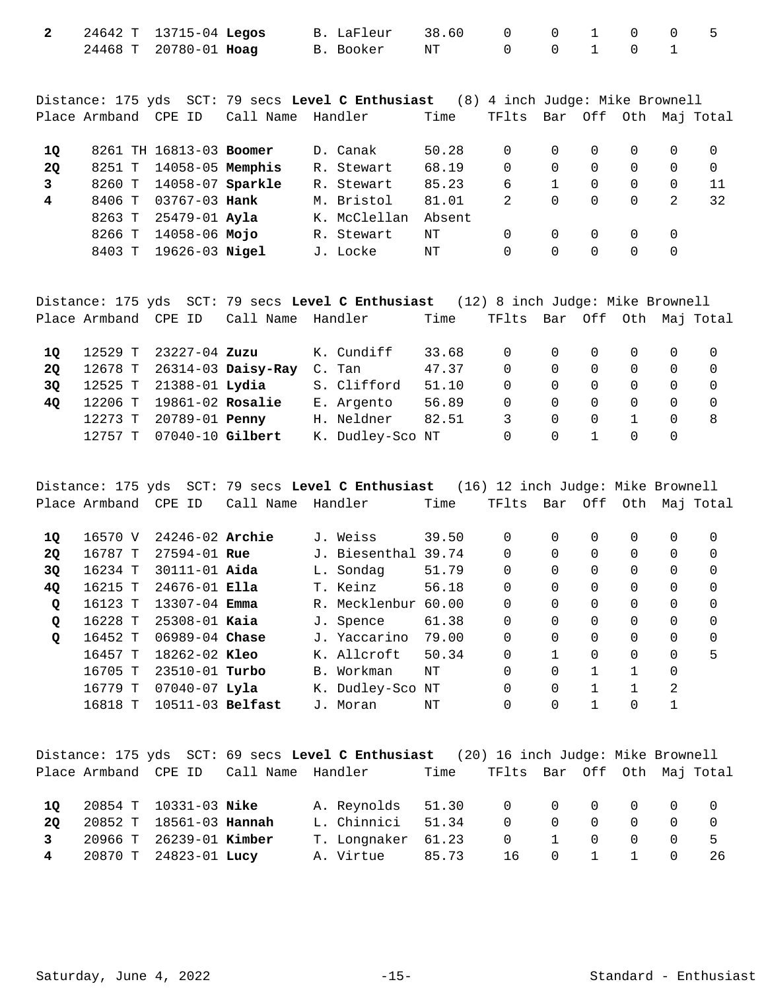|  | 2 24642 T 13715-04 Legos | B. LaFleur 38.60 0 0 1 0 0 5 |           |  |  |  |
|--|--------------------------|------------------------------|-----------|--|--|--|
|  | 24468 T 20780-01 Hoag    | B. Booker       NT           | 0 0 1 0 1 |  |  |  |

Distance: 175 yds SCT: 79 secs **Level C Enthusiast** (8) 4 inch Judge: Mike Brownell Place Armband CPE ID Call Name Handler Time TFlts Bar Off Oth Maj Total

| 10        |        | 8261 TH 16813-03 Boomer |  | D. Canak     | 50.28  | 0 |          |          |    |
|-----------|--------|-------------------------|--|--------------|--------|---|----------|----------|----|
| <b>20</b> | 8251 T | 14058-05 Memphis        |  | R. Stewart   | 68.19  | 0 |          | 0        |    |
|           | 8260 T | 14058-07 Sparkle        |  | R. Stewart   | 85.23  | 6 |          | 0        |    |
| 4         | 8406 T | 03767-03 <b>Hank</b>    |  | M. Bristol   | 81.01  |   | $\Omega$ | $\Omega$ | 32 |
|           | 8263 T | 25479-01 Ayla           |  | K. McClellan | Absent |   |          |          |    |
|           | 8266 T | 14058-06 Mojo           |  | R. Stewart   | NΤ     |   |          |          |    |
|           | 8403 T | 19626-03 <b>Nigel</b>   |  | J. Locke     | NΤ     | 0 |          |          |    |

|    |         |                              |                            | Distance: 175 yds SCT: 79 secs Level C Enthusiast (12) 8 inch Judge: Mike Brownell |       |                             |          |                |          |                |                |
|----|---------|------------------------------|----------------------------|------------------------------------------------------------------------------------|-------|-----------------------------|----------|----------------|----------|----------------|----------------|
|    |         | Place Armband CPE ID         | Call Name Handler          |                                                                                    | Time  | TFlts Bar Off Oth Maj Total |          |                |          |                |                |
| 10 |         | 12529 T 23227-04 <b>Zuzu</b> |                            | K. Cundiff                                                                         | 33.68 | $\Omega$                    |          | $0\qquad 0$    | $\Omega$ | $\overline{0}$ | $\overline{0}$ |
| 20 |         |                              | 12678 T 26314-03 Daisy-Ray | C. Tan                                                                             | 47.37 | $\Omega$                    | $\Omega$ | $\Omega$       | $\Omega$ | $\Omega$       | - 0            |
| 30 |         | 12525 T 21388-01 Lydia       |                            | S. Clifford                                                                        | 51.10 | $\Omega$                    | $\Omega$ | $\overline{0}$ | $\Omega$ | $\Omega$       | - 0            |
| 40 |         | 12206 T 19861-02 Rosalie     |                            | E. Argento                                                                         | 56.89 | $\Omega$                    | $\Omega$ | $\Omega$       | $\Omega$ | $\Omega$       | $\Omega$       |
|    |         | 12273 T 20789-01 Penny       |                            | H. Neldner                                                                         | 82.51 |                             | $\Omega$ | $\Omega$       |          | $\Omega$       | -8             |
|    | 12757 T | 07040-10 Gilbert             |                            | K. Dudley-Sco NT                                                                   |       | 0                           | $\Omega$ |                | $\Omega$ | $\overline{0}$ |                |

Distance: 175 yds SCT: 79 secs **Level C Enthusiast** (16) 12 inch Judge: Mike Brownell Place Armband CPE ID Call Name Handler Time TFlts Bar Off Oth Maj Total

| 10        | 16570 V | $24246 - 02$ Archie | $\mathbf{J}$ . | Weiss               | 39.50 | 0        | 0        | 0        | 0        | 0 | 0        |
|-----------|---------|---------------------|----------------|---------------------|-------|----------|----------|----------|----------|---|----------|
| <b>2Q</b> | 16787 T | $27594 - 01$ Rue    |                | J. Biesenthal 39.74 |       | 0        | 0        | 0        | 0        | 0 | 0        |
| 3Q        | 16234 T | $30111 - 01$ Aida   |                | L. Sondag           | 51.79 | $\Omega$ | 0        | 0        | 0        | 0 | 0        |
| <b>40</b> | 16215 T | $24676 - 01$ Ella   |                | T. Keinz            | 56.18 | 0        | 0        | 0        | 0        | 0 | $\Omega$ |
| Q         | 16123 T | $13307 - 04$ Emma   |                | R. Mecklenbur       | 60.00 | $\Omega$ | $\Omega$ | $\Omega$ | 0        | 0 | 0        |
| Q         | 16228 T | $25308 - 01$ Kaia   |                | J. Spence           | 61.38 | 0        | 0        | 0        | 0        | 0 | 0        |
| Q         | 16452 T | $06989 - 04$ Chase  |                | J. Yaccarino        | 79.00 | $\Omega$ | $\Omega$ | 0        | $\Omega$ | 0 | $\Omega$ |
|           | 16457 T | $18262 - 02$ Kleo   |                | K. Allcroft         | 50.34 | 0        |          | 0        | 0        | 0 | 5        |
|           | 16705 T | 23510-01 Turbo      | <b>B.</b>      | Workman             | NΤ    | 0        | $\Omega$ |          |          | 0 |          |
|           | 16779 T | $07040 - 07$ Lyla   |                | K. Dudley-Sco NT    |       | $\Omega$ | 0        |          |          | 2 |          |
|           | 16818 T | $10511-03$ Belfast  | J.,            | Moran               | ΝT    | $\Omega$ | 0        |          | $\Omega$ |   |          |

|                |                                | Distance: 175 yds SCT: 69 secs Level C Enthusiast (20) 16 inch Judge: Mike Brownell |                                  |  |                                                     |          |     |
|----------------|--------------------------------|-------------------------------------------------------------------------------------|----------------------------------|--|-----------------------------------------------------|----------|-----|
|                |                                | Place Armband  CPE ID   Call Name  Handler                                          | Time TFlts Bar Off Oth Maj-Total |  |                                                     |          |     |
|                |                                |                                                                                     |                                  |  |                                                     |          |     |
| 10             | 20854 T 10331-03 <b>Nike</b>   | A. Reynolds 51.30 0 0 0 0 0 0                                                       |                                  |  |                                                     |          |     |
| 20             | 20852 T 18561-03 <b>Hannah</b> | L. Chinnici                                                                         | 51.34                            |  | $\begin{matrix} 0 & 0 & 0 & 0 & 0 & 0 \end{matrix}$ |          |     |
| $\overline{3}$ | 20966 T 26239-01 Kimber        | T. Longnaker 61.23 0 1 0 0 0                                                        |                                  |  |                                                     |          | -5. |
|                | 4 20870 T 24823-01 Lucy        | A. Virtue 85.73 16 0 1 1                                                            |                                  |  |                                                     | $\Omega$ | 26  |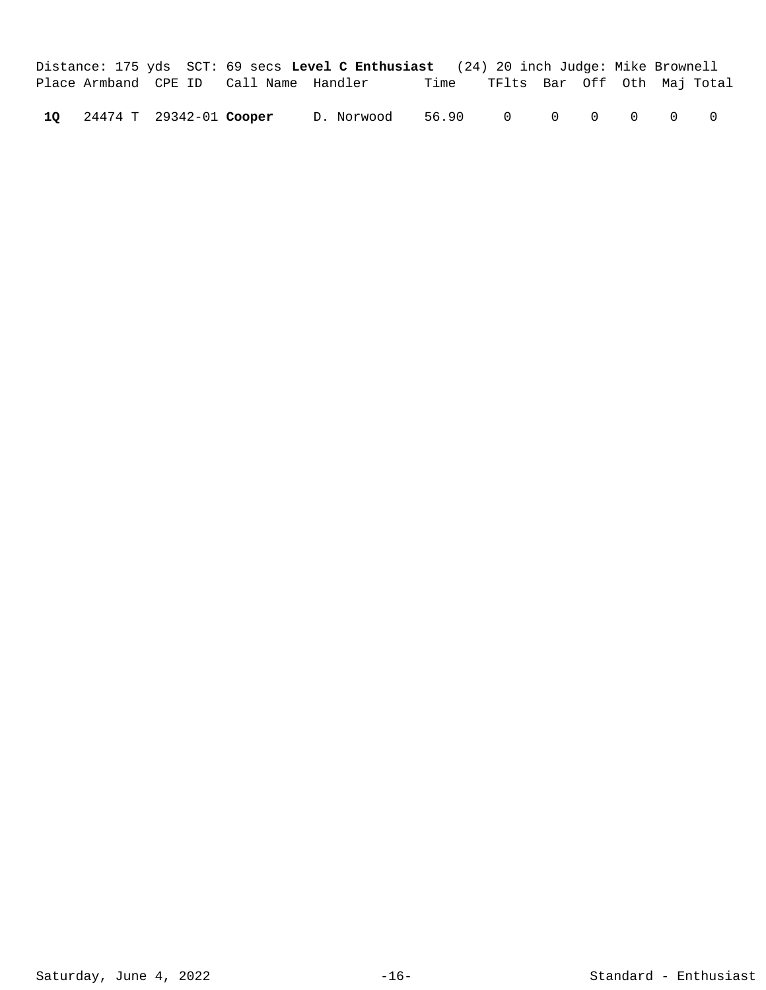|  |                            |                                        | Distance: 175 yds SCT: 69 secs Level C Enthusiast (24) 20 inch Judge: Mike Brownell |                                  |  |                |  |
|--|----------------------------|----------------------------------------|-------------------------------------------------------------------------------------|----------------------------------|--|----------------|--|
|  |                            | Place Armband CPE ID Call Name Handler |                                                                                     | Time TFlts Bar Off Oth Maj-Total |  |                |  |
|  | 10 24474 T 29342-01 Cooper |                                        | D. Norwood                                                                          | 56.90 0 0 0 0                    |  | $\overline{0}$ |  |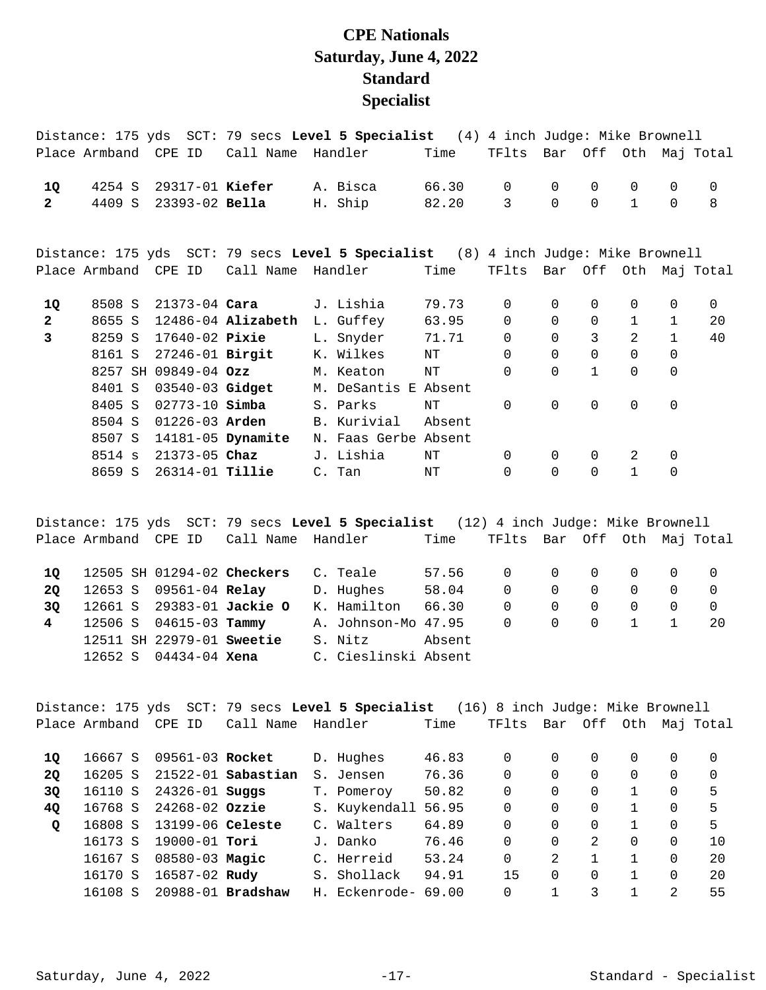## **CPE Nationals Saturday, June 4, 2022 Standard Specialist**

|                |                      |  |               | Distance: 175 yds SCT: 79 secs Level 5 Specialist (4) 4 inch Judge: Mike Brownell |             |                      |        |                             |             |              |                |              |                       |
|----------------|----------------------|--|---------------|-----------------------------------------------------------------------------------|-------------|----------------------|--------|-----------------------------|-------------|--------------|----------------|--------------|-----------------------|
|                | Place Armband CPE ID |  |               | Call Name Handler                                                                 |             |                      | Time   | TFlts Bar Off Oth Maj Total |             |              |                |              |                       |
| 1Q             |                      |  |               | 4254 S 29317-01 Kiefer                                                            | A. Bisca    |                      | 66.30  | $\mathbf 0$                 | $\mathbf 0$ | 0            | 0              | $\mathbf 0$  | $\mathbf 0$           |
| $2^{\circ}$    |                      |  |               | 4409 S 23393-02 Bella                                                             | H. Ship     |                      | 82.20  | 3                           | $\Omega$    | $\Omega$     | $\mathbf{1}$   | $\Omega$     | 8                     |
|                |                      |  |               | Distance: 175 yds SCT: 79 secs Level 5 Specialist (8) 4 inch Judge: Mike Brownell |             |                      |        |                             |             |              |                |              |                       |
|                | Place Armband CPE ID |  |               | Call Name                                                                         |             | Handler              | Time   | TFlts                       |             |              |                |              | Bar Off Oth Maj Total |
| 1Q             |                      |  |               | 8508 S 21373-04 Cara                                                              | J. Lishia   |                      | 79.73  | $\Omega$                    | $\Omega$    | 0            | 0              | 0            | 0                     |
| $\mathbf{2}$   |                      |  |               | 8655 S 12486-04 Alizabeth                                                         |             | L. Guffey 63.95      |        | $\mathbf 0$                 | $\Omega$    | $\Omega$     | $\mathbf{1}$   | $\mathbf{1}$ | 20                    |
| $\overline{3}$ |                      |  |               | 8259 S 17640-02 Pixie                                                             |             | L. Snyder 71.71      |        | $\mathbf 0$                 | $\mathbf 0$ | 3            | $\overline{2}$ | $\mathbf{1}$ | 40                    |
|                |                      |  |               | 8161 S 27246-01 Birgit                                                            |             | K. Wilkes            | NT     | $\Omega$                    | 0           | $\mathbf 0$  | 0              | $\Omega$     |                       |
|                | 8257 SH 09849-04 Ozz |  |               |                                                                                   |             | M. Keaton            | NT     | 0                           | $\Omega$    | $\mathbf{1}$ | 0              | $\mathsf{O}$ |                       |
|                | 8401 S               |  |               | 03540-03 Gidget                                                                   |             | M. DeSantis E Absent |        |                             |             |              |                |              |                       |
|                | 8405 S               |  |               | $02773 - 10$ Simba                                                                | S. Parks    |                      | NT     | $\Omega$                    | $\Omega$    | $\Omega$     | $\Omega$       | $\mathbf 0$  |                       |
|                | 8504 S               |  |               | $01226 - 03$ Arden                                                                | B. Kurivial |                      | Absent |                             |             |              |                |              |                       |
|                |                      |  |               | 8507 S 14181-05 Dynamite                                                          |             | N. Faas Gerbe Absent |        |                             |             |              |                |              |                       |
|                | 8514 s               |  | 21373-05 Chaz |                                                                                   | J. Lishia   |                      | ΝT     | $\Omega$                    | $\Omega$    | $\Omega$     | 2              | $\mathbf 0$  |                       |
|                | 8659 S               |  |               | 26314-01 <b>Tillie</b>                                                            | C. Tan      |                      | NT     | $\Omega$                    | $\Omega$    | $\Omega$     | $\mathbf{1}$   | $\mathbf 0$  |                       |

Distance: 175 yds SCT: 79 secs **Level 5 Specialist** (12) 4 inch Judge: Mike Brownell Place Armband CPE ID Call Name Handler Time TFlts Bar Off Oth Maj Total 12505 SH 01294-02 C. Teale 57.56 0 0 0 0 0 0 **1Q Checkers**  12653 S 09561-04 D. Hughes 58.04 0 0 0 0 0 0 **2Q Relay**  12661 S 29383-01 K. Hamilton 66.30 0 0 0 0 0 0 **3Q Jackie O**  4 12506 S 04615-03 **Tammy** A. Johnson-Mo 47.95 0 0 0 0 1 1 20 12511 SH 22979-01 **Sweetie** S. Nitz **Absent** 12652 S 04434-04 C. Cieslinski Absent **Xena** 

Distance: 175 yds SCT: 79 secs **Level 5 Specialist** (16) 8 inch Judge: Mike Brownell Place Armband CPE ID Call Name Handler Time TFlts Bar Off Oth Maj Total 16667 S 09561-03 D. Hughes 46.83 0 0 0 0 0 0 **1Q Rocket**  16205 S 21522-01 S. Jensen 76.36 0 0 0 0 0 0 **2Q Sabastian**  16110 S 24326-01 T. Pomeroy 50.82 0 0 0 1 0 5 **3Q Suggs**  16768 S 24268-02 S. Kuykendall 56.95 0 0 0 1 0 5 **4Q Ozzie**  16808 S 13199-06 C. Walters 64.89 0 0 0 1 0 5 **Q Celeste**  16173 S 19000-01 J. Danko 76.46 0 0 2 0 0 10 **Tori**  16167 S 08580-03 C. Herreid 53.24 0 2 1 1 0 20 **Magic**  16170 S 16587-02 S. Shollack 94.91 15 0 0 1 0 20 **Rudy**  16108 S 20988-01 H. Eckenrode- 69.00 0 1 3 1 2 55 **Bradshaw**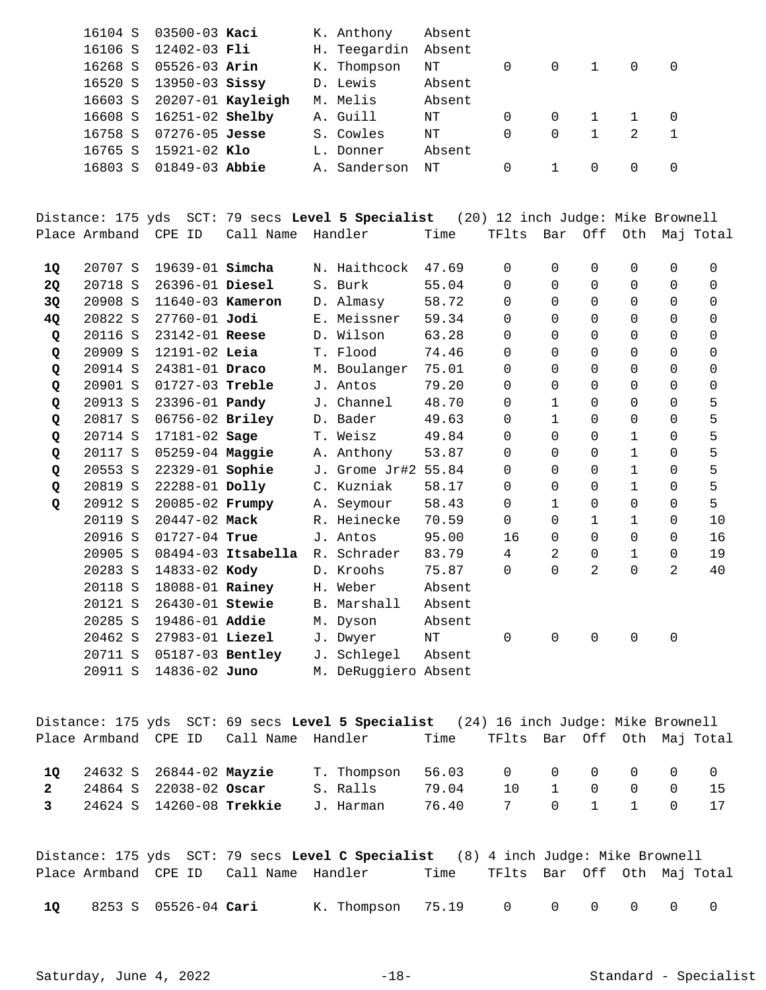|         | 16104 S 03500-03 Kaci     |  | K. Anthony   | Absent |          |          |              |               |          |
|---------|---------------------------|--|--------------|--------|----------|----------|--------------|---------------|----------|
| 16106 S | 12402-03 Fli              |  | H. Teegardin | Absent |          |          |              |               |          |
| 16268 S | 05526-03 <b>Arin</b>      |  | K. Thompson  | NT     | 0        | $\Omega$ | $\mathbf{1}$ | $\Omega$      | $\Omega$ |
| 16520 S | $13950 - 03$ Sissy        |  | D. Lewis     | Absent |          |          |              |               |          |
|         | 16603 S 20207-01 Kayleigh |  | M. Melis     | Absent |          |          |              |               |          |
| 16608 S | 16251-02 <b>Shelby</b>    |  | A. Guill     | NT     | 0        | $\Omega$ |              |               | $\Omega$ |
| 16758 S | $07276 - 05$ Jesse        |  | S. Cowles    | NT     | $\Omega$ | $\Omega$ | $\mathbf{1}$ | $\mathcal{L}$ | 1        |
| 16765 S | 15921-02 Klo              |  | L. Donner    | Absent |          |          |              |               |          |
| 16803 S | 01849-03 <b>Abbie</b>     |  | A. Sanderson | NT     | 0        |          | <sup>n</sup> | $\Omega$      | $\Omega$ |
|         |                           |  |              |        |          |          |              |               |          |

Distance: 175 yds SCT: 79 secs **Level 5 Specialist** (20) 12 inch Judge: Mike Brownell Place Armband CPE ID Call Name Handler Time TFlts Bar Off Oth Maj Total

| 10 | 20707 S | 19639-01 <b>Simcha</b> |                      | N. Haithcock         | 47.69  | 0              | 0            | 0            | 0            | 0           | 0        |
|----|---------|------------------------|----------------------|----------------------|--------|----------------|--------------|--------------|--------------|-------------|----------|
| 2Q | 20718 S | 26396-01 Diesel        |                      | S. Burk              | 55.04  | 0              | $\Omega$     | 0            | 0            | 0           | 0        |
| 3Q | 20908 S | 11640-03 Kameron       |                      | D. Almasy            | 58.72  | $\Omega$       | $\Omega$     | $\Omega$     | 0            | $\Omega$    | $\Omega$ |
| 4Q | 20822 S | $27760 - 01$ Jodi      |                      | E. Meissner          | 59.34  | $\Omega$       | $\Omega$     | $\Omega$     | 0            | $\Omega$    | $\Omega$ |
| Q  | 20116 S | 23142-01 Reese         |                      | D. Wilson            | 63.28  | $\Omega$       | $\Omega$     | $\Omega$     | 0            | $\Omega$    | $\Omega$ |
| Q  | 20909 S | 12191-02 Leia          |                      | T. Flood             | 74.46  | $\Omega$       | $\Omega$     | $\Omega$     | 0            | $\Omega$    | 0        |
| Q  | 20914 S | 24381-01 Draco         |                      | M. Boulanger         | 75.01  | $\Omega$       | $\Omega$     | $\Omega$     | 0            | $\Omega$    | $\Omega$ |
| Q  | 20901 S | 01727-03 Treble        |                      | J. Antos             | 79.20  | $\Omega$       | $\Omega$     | $\Omega$     | 0            | $\Omega$    | $\Omega$ |
| Q  | 20913 S | 23396-01 Pandy         |                      | J. Channel           | 48.70  | 0              | $\mathbf{1}$ | $\Omega$     | 0            | $\Omega$    | 5        |
| Q  | 20817 S | 06756-02 Briley        |                      | D. Bader             | 49.63  | 0              | $\mathbf{1}$ | 0            | 0            | $\mathbf 0$ | 5        |
| Q  | 20714 S | 17181-02 Sage          |                      | T. Weisz             | 49.84  | $\Omega$       | $\Omega$     | $\Omega$     | 1            | $\Omega$    | 5        |
| Q  | 20117 S | $05259 - 04$ Maggie    |                      | A. Anthony           | 53.87  | 0              | $\Omega$     | $\Omega$     | 1            | 0           | 5        |
| Q  | 20553 S | 22329-01 Sophie        |                      | J. Grome Jr#2 55.84  |        | 0              | 0            | 0            | $\mathbf{1}$ | $\Omega$    | 5        |
| Q  | 20819 S | 22288-01 Dolly         |                      | C. Kuzniak           | 58.17  | 0              | 0            | 0            | $\mathbf{1}$ | 0           | 5        |
| Q  | 20912 S | 20085-02 Frumpy        |                      | A. Seymour           | 58.43  | 0              | $\mathbf{1}$ | $\Omega$     | 0            | 0           | 5        |
|    | 20119 S | 20447-02 Mack          |                      | R. Heinecke          | 70.59  | $\Omega$       | 0            | $\mathbf{1}$ | $\mathbf{1}$ | 0           | 10       |
|    | 20916 S | 01727-04 True          |                      | J. Antos             | 95.00  | 16             | $\Omega$     | $\Omega$     | 0            | 0           | 16       |
|    | 20905 S |                        | $08494-03$ Itsabella | R. Schrader          | 83.79  | $\overline{4}$ | 2            | 0            | 1            | 0           | 19       |
|    | 20283 S | 14833-02 Kody          |                      | D. Kroohs            | 75.87  | $\Omega$       | $\Omega$     | 2            | 0            | 2           | 40       |
|    | 20118 S | 18088-01 Rainey        |                      | H. Weber             | Absent |                |              |              |              |             |          |
|    | 20121 S | 26430-01 Stewie        |                      | B. Marshall          | Absent |                |              |              |              |             |          |
|    | 20285 S | 19486-01 Addie         |                      | M. Dyson             | Absent |                |              |              |              |             |          |
|    | 20462 S | 27983-01 Liezel        |                      | J. Dwyer             | ΝT     | $\Omega$       | $\Omega$     | $\Omega$     | 0            | 0           |          |
|    | 20711 S | 05187-03 Bentley       |                      | J. Schlegel          | Absent |                |              |              |              |             |          |
|    | 20911 S | 14836-02 Juno          |                      | M. DeRuggiero Absent |        |                |              |              |              |             |          |
|    |         |                        |                      |                      |        |                |              |              |              |             |          |

Distance: 175 yds SCT: 69 secs **Level 5 Specialist** (24) 16 inch Judge: Mike Brownell Place Armband CPE ID Call Name Handler Time TFlts Bar Off Oth Maj Total 24632 S 26844-02 T. Thompson 56.03 0 0 0 0 0 0 **1Q Mayzie** 

|  |  | <u>LU</u> 24032 S 20044-UZ <b>MAYZIE</b> I.IIIOIIIPSOII DO.U3 UU UU UU UU U |  |  |  |  |
|--|--|-----------------------------------------------------------------------------|--|--|--|--|
|  |  | 2  24864  S  22038-02 <b>Oscar</b> S. Ralls  79.04  10  1  0  0  0  15      |  |  |  |  |
|  |  | 3 24624 S 14260-08 <b>Trekkie</b> J.Harman 76.40 7 0 1 1 0 17               |  |  |  |  |

Distance: 175 yds SCT: 79 secs **Level C Specialist** (8) 4 inch Judge: Mike Brownell Place Armband CPE ID Call Name Handler Time TFlts Bar Off Oth Maj Total 8253 S 05526-04 K. Thompson 75.19 0 0 0 0 0 0 **1Q Cari**